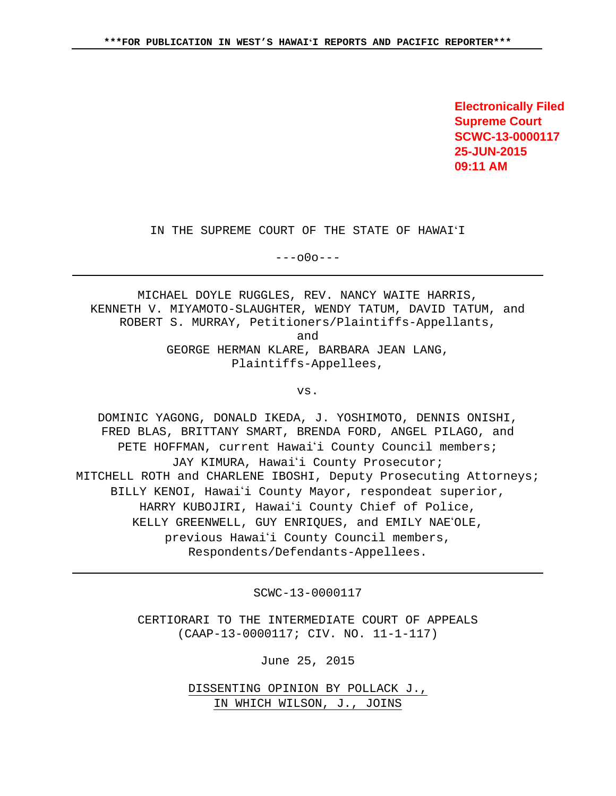**Electronically Filed Supreme Court SCWC-13-0000117 25-JUN-2015 09:11 AM**

IN THE SUPREME COURT OF THE STATE OF HAWAIʻI

 $---000---$ 

MICHAEL DOYLE RUGGLES, REV. NANCY WAITE HARRIS, KENNETH V. MIYAMOTO-SLAUGHTER, WENDY TATUM, DAVID TATUM, and ROBERT S. MURRAY, Petitioners/Plaintiffs-Appellants, and GEORGE HERMAN KLARE, BARBARA JEAN LANG, Plaintiffs-Appellees,

vs.

DOMINIC YAGONG, DONALD IKEDA, J. YOSHIMOTO, DENNIS ONISHI, FRED BLAS, BRITTANY SMART, BRENDA FORD, ANGEL PILAGO, and PETE HOFFMAN, current Hawai'i County Council members; JAY KIMURA, Hawai'i County Prosecutor; MITCHELL ROTH and CHARLENE IBOSHI, Deputy Prosecuting Attorneys; BILLY KENOI, Hawai'i County Mayor, respondeat superior, HARRY KUBOJIRI, Hawai'i County Chief of Police, KELLY GREENWELL, GUY ENRIQUES, and EMILY NAE'OLE, previous Hawai'i County Council members, Respondents/Defendants-Appellees.

SCWC-13-0000117

CERTIORARI TO THE INTERMEDIATE COURT OF APPEALS (CAAP-13-0000117; CIV. NO. 11-1-117)

June 25, 2015

DISSENTING OPINION BY POLLACK J., IN WHICH WILSON, J., JOINS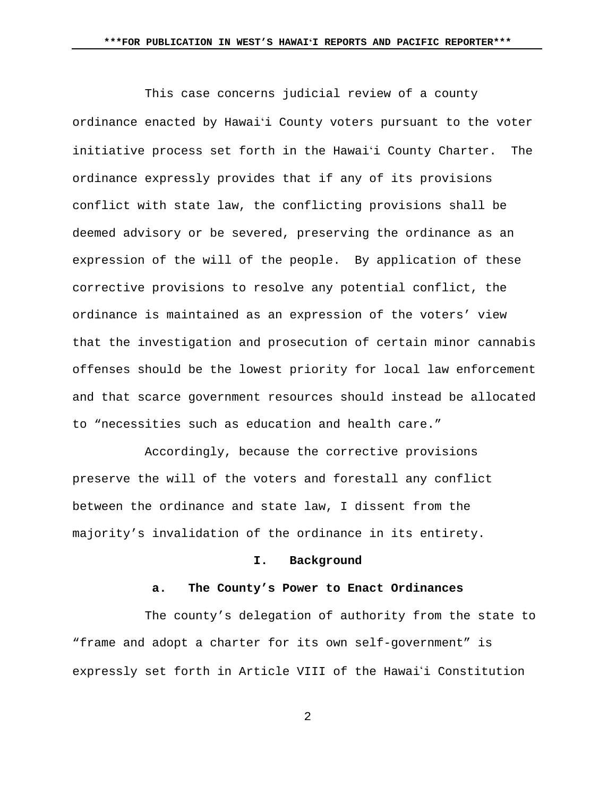This case concerns judicial review of a county ordinance enacted by Hawaiʻi County voters pursuant to the voter initiative process set forth in the Hawaiʻi County Charter. The ordinance expressly provides that if any of its provisions conflict with state law, the conflicting provisions shall be deemed advisory or be severed, preserving the ordinance as an expression of the will of the people. By application of these corrective provisions to resolve any potential conflict, the ordinance is maintained as an expression of the voters' view that the investigation and prosecution of certain minor cannabis offenses should be the lowest priority for local law enforcement and that scarce government resources should instead be allocated to "necessities such as education and health care."

Accordingly, because the corrective provisions preserve the will of the voters and forestall any conflict between the ordinance and state law, I dissent from the majority's invalidation of the ordinance in its entirety.

### **I. Background**

### **a. The County's Power to Enact Ordinances**

The county's delegation of authority from the state to "frame and adopt a charter for its own self-government" is expressly set forth in Article VIII of the Hawai'i Constitution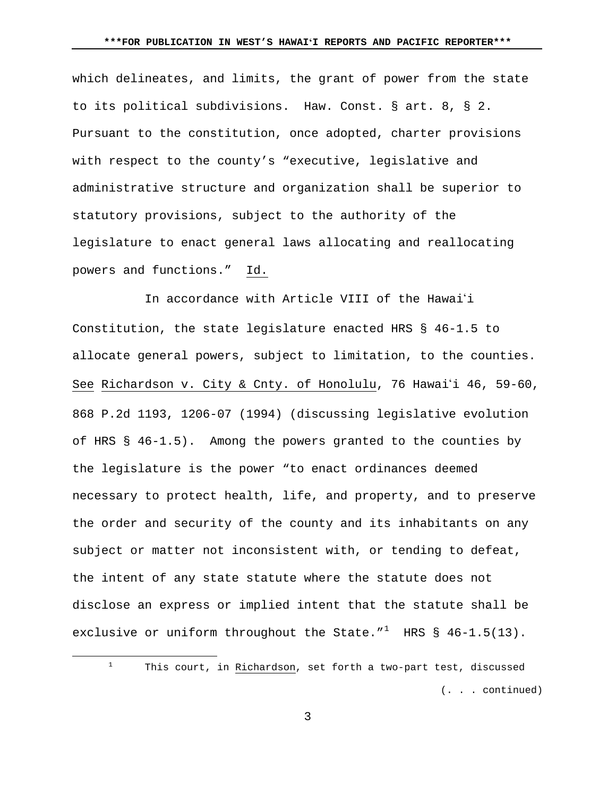which delineates, and limits, the grant of power from the state to its political subdivisions. Haw. Const. § art. 8, § 2. Pursuant to the constitution, once adopted, charter provisions with respect to the county's "executive, legislative and administrative structure and organization shall be superior to statutory provisions, subject to the authority of the legislature to enact general laws allocating and reallocating powers and functions." Id.

In accordance with Article VIII of the Hawai'i Constitution, the state legislature enacted HRS § 46-1.5 to allocate general powers, subject to limitation, to the counties. See Richardson v. City & Cnty. of Honolulu, 76 Hawai'i 46, 59-60, 868 P.2d 1193, 1206-07 (1994) (discussing legislative evolution of HRS § 46-1.5). Among the powers granted to the counties by the legislature is the power "to enact ordinances deemed necessary to protect health, life, and property, and to preserve the order and security of the county and its inhabitants on any subject or matter not inconsistent with, or tending to defeat, the intent of any state statute where the statute does not disclose an express or implied intent that the statute shall be exclusive or uniform throughout the State." $1$  HRS § 46-1.5(13).

<span id="page-2-0"></span> $\overline{a}$ 

 $1$  This court, in Richardson, set forth a two-part test, discussed (. . . continued)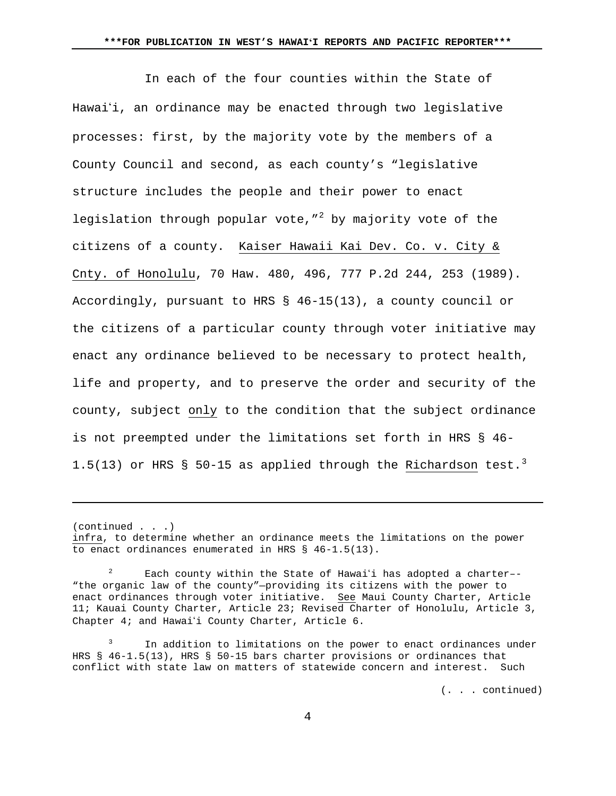In each of the four counties within the State of Hawai'i, an ordinance may be enacted through two legislative processes: first, by the majority vote by the members of a County Council and second, as each county's "legislative structure includes the people and their power to enact legislation through popular vote,  $\frac{1}{2}$  $\frac{1}{2}$  $\frac{1}{2}$  by majority vote of the citizens of a county. Kaiser Hawaii Kai Dev. Co. v. City & Cnty. of Honolulu, 70 Haw. 480, 496, 777 P.2d 244, 253 (1989). Accordingly, pursuant to HRS § 46-15(13), a county council or the citizens of a particular county through voter initiative may enact any ordinance believed to be necessary to protect health, life and property, and to preserve the order and security of the county, subject only to the condition that the subject ordinance is not preempted under the limitations set forth in HRS § 46- 1.5(1[3](#page-3-1)) or HRS § 50-15 as applied through the Richardson test.<sup>3</sup>

(continued . . .)

Ĩ.

(. . . continued)

infra, to determine whether an ordinance meets the limitations on the power to enact ordinances enumerated in HRS § 46-1.5(13).

<span id="page-3-0"></span>Each county within the State of Hawai'i has adopted a charter--"the organic law of the county"—providing its citizens with the power to enact ordinances through voter initiative. See Maui County Charter, Article 11; Kauai County Charter, Article 23; Revised Charter of Honolulu, Article 3, Chapter 4; and Hawai'i County Charter, Article 6.

<span id="page-3-1"></span><sup>&</sup>lt;sup>3</sup> In addition to limitations on the power to enact ordinances under HRS § 46-1.5(13), HRS § 50-15 bars charter provisions or ordinances that conflict with state law on matters of statewide concern and interest. Such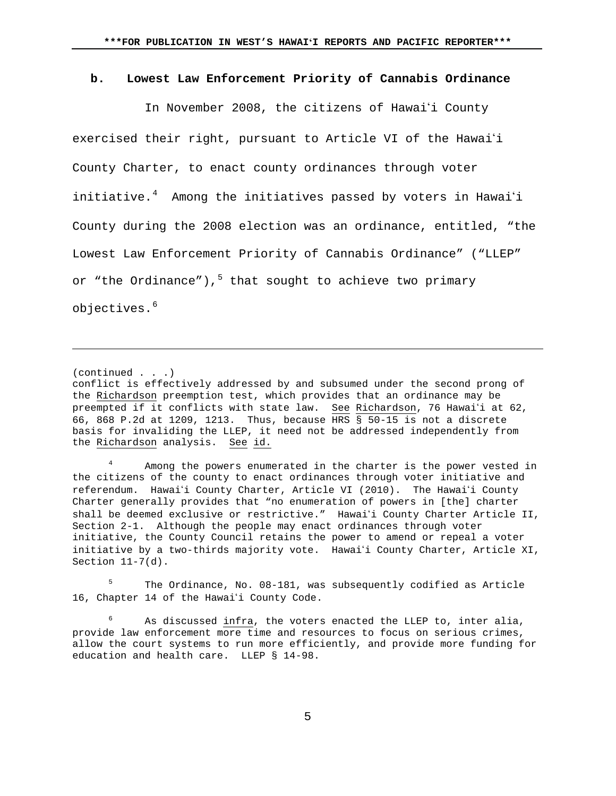#### **b. Lowest Law Enforcement Priority of Cannabis Ordinance**

In November 2008, the citizens of Hawai'i County exercised their right, pursuant to Article VI of the Hawai'i County Charter, to enact county ordinances through voter initiative.<sup>[4](#page-4-0)</sup> Among the initiatives passed by voters in Hawaiʻi County during the 2008 election was an ordinance, entitled, "the Lowest Law Enforcement Priority of Cannabis Ordinance" ("LLEP" or "the Ordinance"), $5$  that sought to achieve two primary objectives.<sup>[6](#page-4-2)</sup>

(continued . . .)

Ĩ.

conflict is effectively addressed by and subsumed under the second prong of the Richardson preemption test, which provides that an ordinance may be preempted if it conflicts with state law. See Richardson, 76 Hawai'i at 62, 66, 868 P.2d at 1209, 1213. Thus, because HRS § 50-15 is not a discrete basis for invaliding the LLEP, it need not be addressed independently from the Richardson analysis. See id.

<span id="page-4-0"></span><sup>4</sup> Among the powers enumerated in the charter is the power vested in the citizens of the county to enact ordinances through voter initiative and referendum. Hawai'i County Charter, Article VI (2010). The Hawai'i County Charter generally provides that "no enumeration of powers in [the] charter shall be deemed exclusive or restrictive." Hawai'i County Charter Article II, Section 2-1. Although the people may enact ordinances through voter initiative, the County Council retains the power to amend or repeal a voter initiative by a two-thirds majority vote. Hawai'i County Charter, Article XI, Section  $11-7(d)$ .

<span id="page-4-1"></span><sup>5</sup> The Ordinance, No. 08-181, was subsequently codified as Article 16, Chapter 14 of the Hawai'i County Code.

<span id="page-4-2"></span> $6$  As discussed infra, the voters enacted the LLEP to, inter alia, provide law enforcement more time and resources to focus on serious crimes, allow the court systems to run more efficiently, and provide more funding for education and health care. LLEP § 14-98.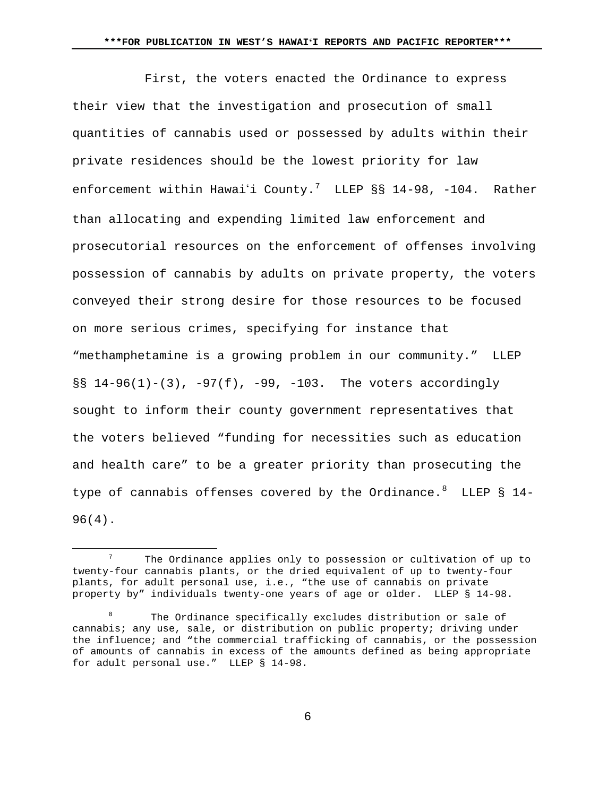First, the voters enacted the Ordinance to express their view that the investigation and prosecution of small quantities of cannabis used or possessed by adults within their private residences should be the lowest priority for law enforcement within Hawaiʻi County. $^7$  $^7$  LLEP §§ 14-98, -104. Rather than allocating and expending limited law enforcement and prosecutorial resources on the enforcement of offenses involving possession of cannabis by adults on private property, the voters conveyed their strong desire for those resources to be focused on more serious crimes, specifying for instance that "methamphetamine is a growing problem in our community." LLEP §§ 14-96(1)-(3), -97(f), -99, -103. The voters accordingly sought to inform their county government representatives that the voters believed "funding for necessities such as education and health care" to be a greater priority than prosecuting the type of cannabis offenses covered by the Ordinance. $8$  LLEP  $\delta$  14-96(4).

 $\overline{a}$ 

<span id="page-5-0"></span>The Ordinance applies only to possession or cultivation of up to twenty-four cannabis plants, or the dried equivalent of up to twenty-four plants, for adult personal use, i.e., "the use of cannabis on private property by" individuals twenty-one years of age or older. LLEP § 14-98.

<span id="page-5-1"></span>The Ordinance specifically excludes distribution or sale of cannabis; any use, sale, or distribution on public property; driving under the influence; and "the commercial trafficking of cannabis, or the possession of amounts of cannabis in excess of the amounts defined as being appropriate for adult personal use." LLEP § 14-98.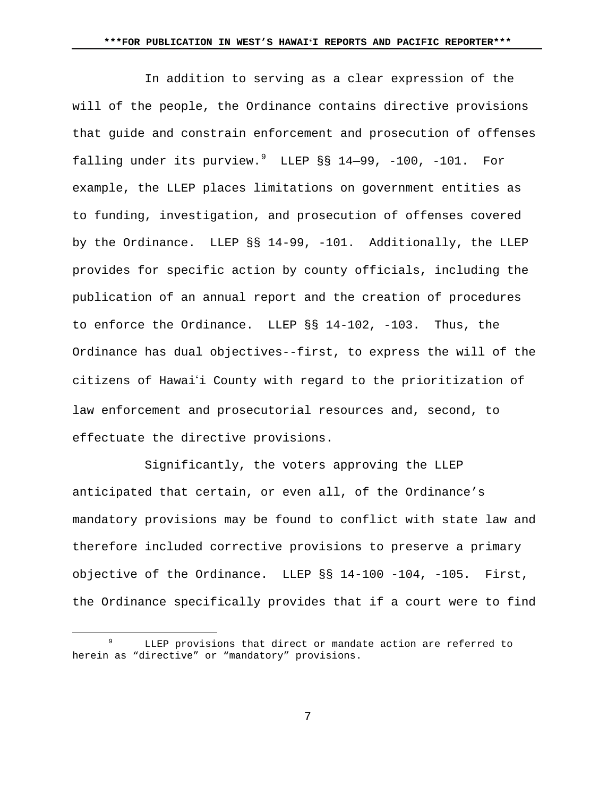In addition to serving as a clear expression of the will of the people, the Ordinance contains directive provisions that guide and constrain enforcement and prosecution of offenses falling under its purview.<sup>[9](#page-6-0)</sup> LLEP §§ 14-99, -100, -101. For example, the LLEP places limitations on government entities as to funding, investigation, and prosecution of offenses covered by the Ordinance. LLEP §§ 14-99, -101. Additionally, the LLEP provides for specific action by county officials, including the publication of an annual report and the creation of procedures to enforce the Ordinance. LLEP §§ 14-102, -103. Thus, the Ordinance has dual objectives--first, to express the will of the citizens of Hawai'i County with regard to the prioritization of law enforcement and prosecutorial resources and, second, to effectuate the directive provisions.

Significantly, the voters approving the LLEP anticipated that certain, or even all, of the Ordinance's mandatory provisions may be found to conflict with state law and therefore included corrective provisions to preserve a primary objective of the Ordinance. LLEP §§ 14-100 -104, -105. First, the Ordinance specifically provides that if a court were to find

 $\overline{a}$ 

<span id="page-6-0"></span>LLEP provisions that direct or mandate action are referred to herein as "directive" or "mandatory" provisions.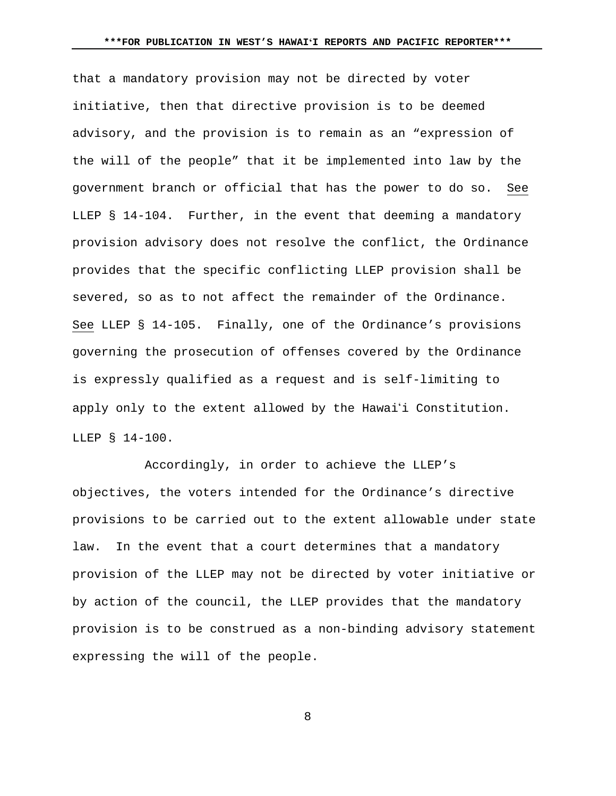that a mandatory provision may not be directed by voter initiative, then that directive provision is to be deemed advisory, and the provision is to remain as an "expression of the will of the people" that it be implemented into law by the government branch or official that has the power to do so. See LLEP § 14-104. Further, in the event that deeming a mandatory provision advisory does not resolve the conflict, the Ordinance provides that the specific conflicting LLEP provision shall be severed, so as to not affect the remainder of the Ordinance. See LLEP § 14-105. Finally, one of the Ordinance's provisions governing the prosecution of offenses covered by the Ordinance is expressly qualified as a request and is self-limiting to apply only to the extent allowed by the Hawai'i Constitution. LLEP § 14-100.

Accordingly, in order to achieve the LLEP's objectives, the voters intended for the Ordinance's directive provisions to be carried out to the extent allowable under state law. In the event that a court determines that a mandatory provision of the LLEP may not be directed by voter initiative or by action of the council, the LLEP provides that the mandatory provision is to be construed as a non-binding advisory statement expressing the will of the people.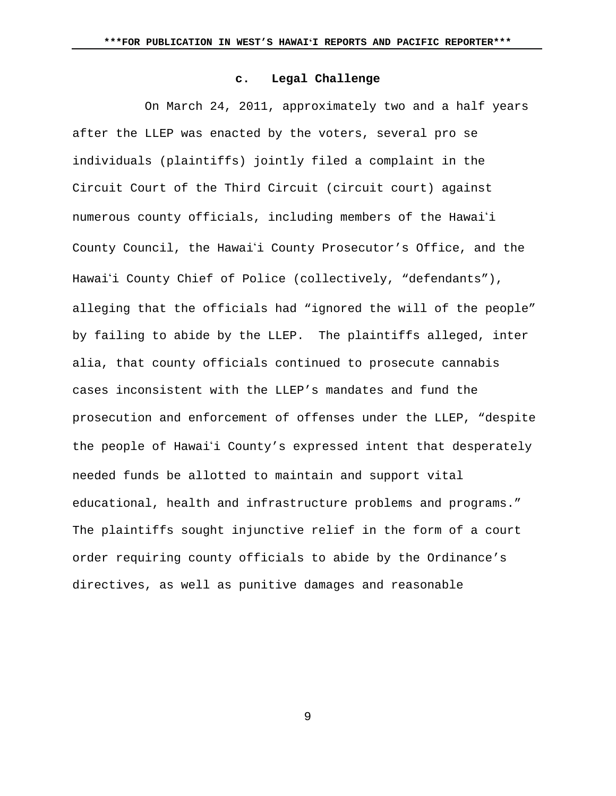## **c. Legal Challenge**

On March 24, 2011, approximately two and a half years after the LLEP was enacted by the voters, several pro se individuals (plaintiffs) jointly filed a complaint in the Circuit Court of the Third Circuit (circuit court) against numerous county officials, including members of the Hawai'i County Council, the Hawai'i County Prosecutor's Office, and the Hawai'i County Chief of Police (collectively, "defendants"), alleging that the officials had "ignored the will of the people" by failing to abide by the LLEP. The plaintiffs alleged, inter alia, that county officials continued to prosecute cannabis cases inconsistent with the LLEP's mandates and fund the prosecution and enforcement of offenses under the LLEP, "despite the people of Hawai'i County's expressed intent that desperately needed funds be allotted to maintain and support vital educational, health and infrastructure problems and programs." The plaintiffs sought injunctive relief in the form of a court order requiring county officials to abide by the Ordinance's directives, as well as punitive damages and reasonable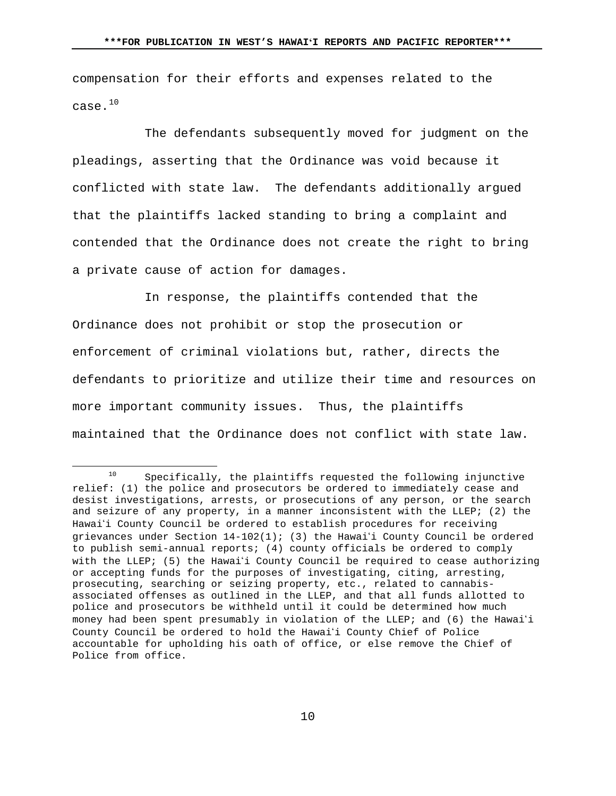compensation for their efforts and expenses related to the case.[10](#page-9-0)

The defendants subsequently moved for judgment on the pleadings, asserting that the Ordinance was void because it conflicted with state law. The defendants additionally argued that the plaintiffs lacked standing to bring a complaint and contended that the Ordinance does not create the right to bring a private cause of action for damages.

In response, the plaintiffs contended that the Ordinance does not prohibit or stop the prosecution or enforcement of criminal violations but, rather, directs the defendants to prioritize and utilize their time and resources on more important community issues. Thus, the plaintiffs maintained that the Ordinance does not conflict with state law.

 $\overline{a}$ 

<span id="page-9-0"></span> $10$  Specifically, the plaintiffs requested the following injunctive relief: (1) the police and prosecutors be ordered to immediately cease and desist investigations, arrests, or prosecutions of any person, or the search and seizure of any property, in a manner inconsistent with the LLEP; (2) the Hawai'i County Council be ordered to establish procedures for receiving grievances under Section  $14-102(1)$ ; (3) the Hawai'i County Council be ordered to publish semi-annual reports; (4) county officials be ordered to comply with the LLEP; (5) the Hawai'i County Council be required to cease authorizing or accepting funds for the purposes of investigating, citing, arresting, prosecuting, searching or seizing property, etc., related to cannabisassociated offenses as outlined in the LLEP, and that all funds allotted to police and prosecutors be withheld until it could be determined how much money had been spent presumably in violation of the LLEP; and (6) the Hawai'i County Council be ordered to hold the Hawaii County Chief of Police accountable for upholding his oath of office, or else remove the Chief of Police from office.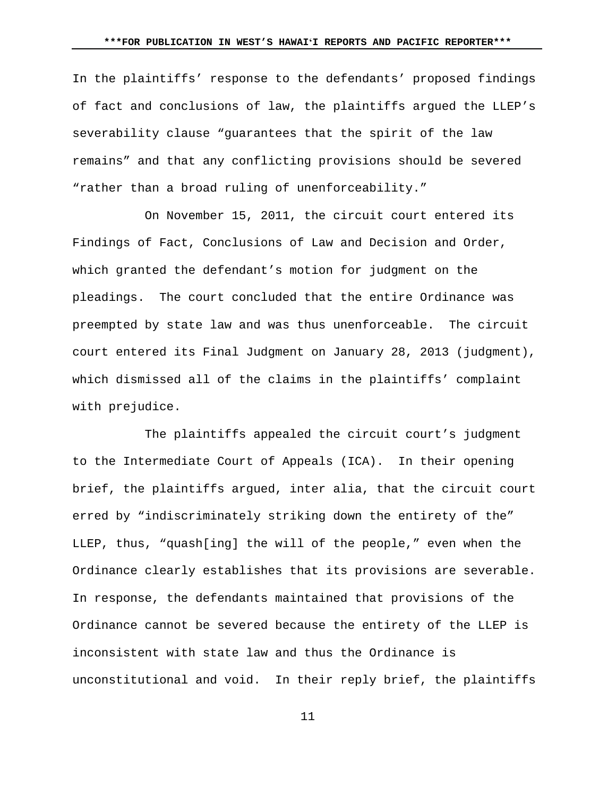In the plaintiffs' response to the defendants' proposed findings of fact and conclusions of law, the plaintiffs argued the LLEP's severability clause "guarantees that the spirit of the law remains" and that any conflicting provisions should be severed "rather than a broad ruling of unenforceability."

On November 15, 2011, the circuit court entered its Findings of Fact, Conclusions of Law and Decision and Order, which granted the defendant's motion for judgment on the pleadings. The court concluded that the entire Ordinance was preempted by state law and was thus unenforceable. The circuit court entered its Final Judgment on January 28, 2013 (judgment), which dismissed all of the claims in the plaintiffs' complaint with prejudice.

The plaintiffs appealed the circuit court's judgment to the Intermediate Court of Appeals (ICA). In their opening brief, the plaintiffs argued, inter alia, that the circuit court erred by "indiscriminately striking down the entirety of the" LLEP, thus, "quash[ing] the will of the people," even when the Ordinance clearly establishes that its provisions are severable. In response, the defendants maintained that provisions of the Ordinance cannot be severed because the entirety of the LLEP is inconsistent with state law and thus the Ordinance is unconstitutional and void. In their reply brief, the plaintiffs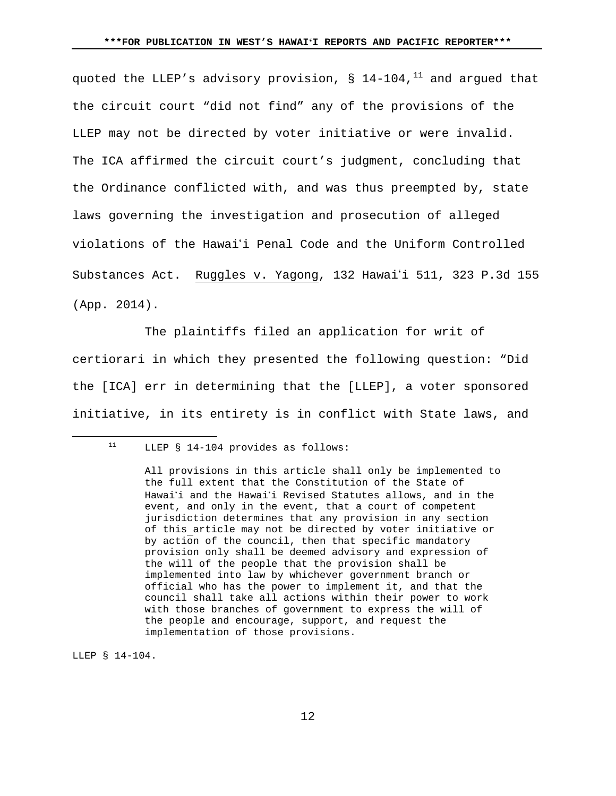quoted the LLEP's advisory provision,  $\S$  14-104,<sup>[11](#page-11-0)</sup> and argued that the circuit court "did not find" any of the provisions of the LLEP may not be directed by voter initiative or were invalid. The ICA affirmed the circuit court's judgment, concluding that the Ordinance conflicted with, and was thus preempted by, state laws governing the investigation and prosecution of alleged violations of the Hawaii Penal Code and the Uniform Controlled Substances Act. Ruggles v. Yagong, 132 Hawai'i 511, 323 P.3d 155 (App. 2014).

The plaintiffs filed an application for writ of certiorari in which they presented the following question: "Did the [ICA] err in determining that the [LLEP], a voter sponsored initiative, in its entirety is in conflict with State laws, and

LLEP § 14-104.

<span id="page-11-0"></span> $\overline{a}$ 

<sup>11</sup> LLEP § 14-104 provides as follows:

All provisions in this article shall only be implemented to the full extent that the Constitution of the State of Hawai'i and the Hawai'i Revised Statutes allows, and in the event, and only in the event, that a court of competent jurisdiction determines that any provision in any section of this article may not be directed by voter initiative or by action of the council, then that specific mandatory provision only shall be deemed advisory and expression of the will of the people that the provision shall be implemented into law by whichever government branch or official who has the power to implement it, and that the council shall take all actions within their power to work with those branches of government to express the will of the people and encourage, support, and request the implementation of those provisions.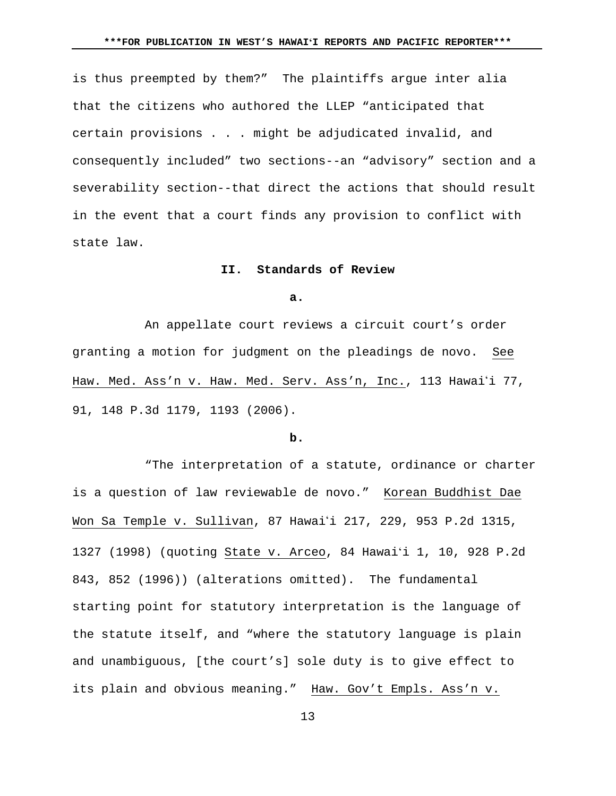is thus preempted by them?" The plaintiffs argue inter alia that the citizens who authored the LLEP "anticipated that certain provisions . . . might be adjudicated invalid, and consequently included" two sections--an "advisory" section and a severability section--that direct the actions that should result in the event that a court finds any provision to conflict with state law.

#### **II. Standards of Review**

**a.**

An appellate court reviews a circuit court's order granting a motion for judgment on the pleadings de novo. See Haw. Med. Ass'n v. Haw. Med. Serv. Ass'n, Inc., 113 Hawai'i 77, 91, 148 P.3d 1179, 1193 (2006).

#### **b.**

"The interpretation of a statute, ordinance or charter is a question of law reviewable de novo." Korean Buddhist Dae Won Sa Temple v. Sullivan, 87 Hawai'i 217, 229, 953 P.2d 1315, 1327 (1998) (quoting State v. Arceo, 84 Hawaiʻi 1, 10, 928 P.2d 843, 852 (1996)) (alterations omitted). The fundamental starting point for statutory interpretation is the language of the statute itself, and "where the statutory language is plain and unambiguous, [the court's] sole duty is to give effect to its plain and obvious meaning." Haw. Gov't Empls. Ass'n v.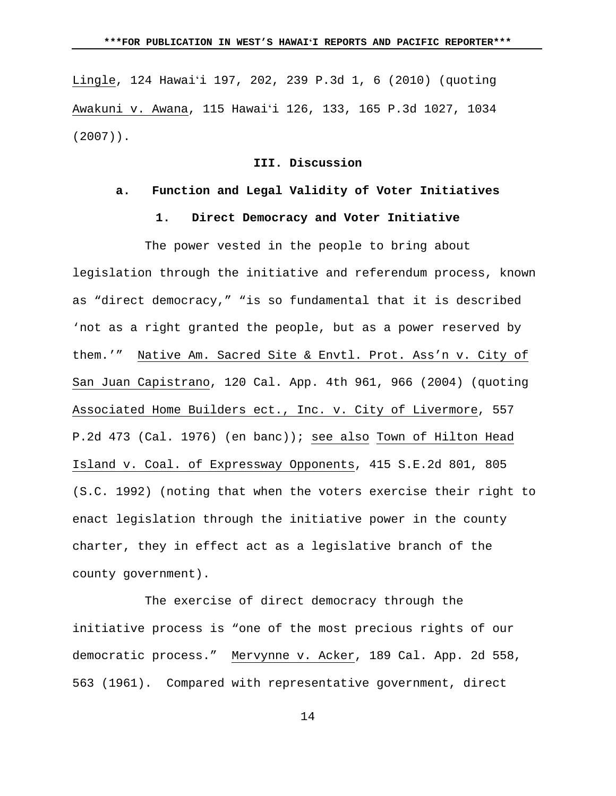Lingle, 124 Hawaiʻi 197, 202, 239 P.3d 1, 6 (2010) (quoting Awakuni v. Awana, 115 Hawaiʻi 126, 133, 165 P.3d 1027, 1034 (2007)).

# **III. Discussion**

### **a. Function and Legal Validity of Voter Initiatives**

# **1. Direct Democracy and Voter Initiative**

The power vested in the people to bring about legislation through the initiative and referendum process, known as "direct democracy," "is so fundamental that it is described 'not as a right granted the people, but as a power reserved by them.'" Native Am. Sacred Site & Envtl. Prot. Ass'n v. City of San Juan Capistrano, 120 Cal. App. 4th 961, 966 (2004) (quoting Associated Home Builders ect., Inc. v. City of Livermore, 557 P.2d 473 (Cal. 1976) (en banc)); see also Town of Hilton Head Island v. Coal. of Expressway Opponents, 415 S.E.2d 801, 805 (S.C. 1992) (noting that when the voters exercise their right to enact legislation through the initiative power in the county charter, they in effect act as a legislative branch of the county government).

The exercise of direct democracy through the initiative process is "one of the most precious rights of our democratic process." Mervynne v. Acker, 189 Cal. App. 2d 558, 563 (1961). Compared with representative government, direct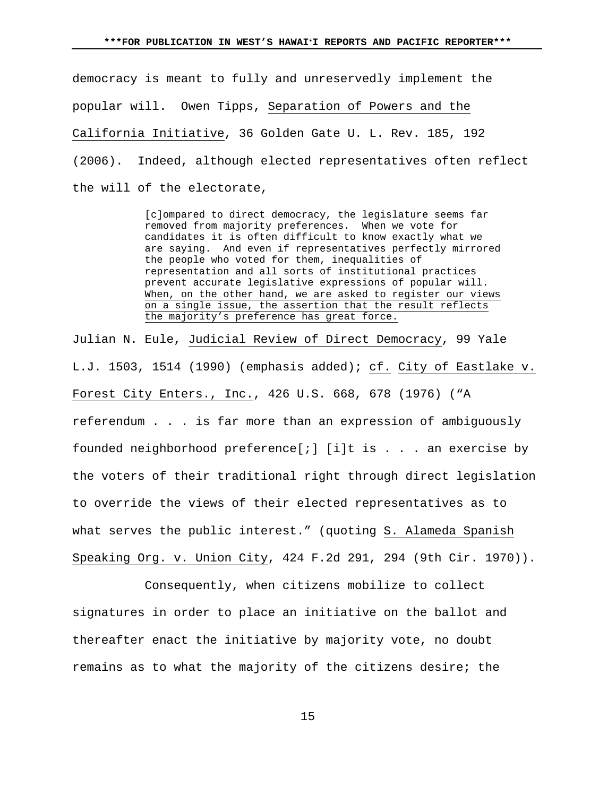democracy is meant to fully and unreservedly implement the popular will. Owen Tipps, Separation of Powers and the California Initiative, 36 Golden Gate U. L. Rev. 185, 192 (2006). Indeed, although elected representatives often reflect the will of the electorate,

> [c]ompared to direct democracy, the legislature seems far removed from majority preferences. When we vote for candidates it is often difficult to know exactly what we are saying. And even if representatives perfectly mirrored the people who voted for them, inequalities of representation and all sorts of institutional practices prevent accurate legislative expressions of popular will. When, on the other hand, we are asked to register our views on a single issue, the assertion that the result reflects the majority's preference has great force.

Julian N. Eule, Judicial Review of Direct Democracy, 99 Yale L.J. 1503, 1514 (1990) (emphasis added); cf. City of Eastlake v. Forest City Enters., Inc., 426 U.S. 668, 678 (1976) ("A referendum . . . is far more than an expression of ambiguously founded neighborhood preference[;] [i]t is . . . an exercise by the voters of their traditional right through direct legislation to override the views of their elected representatives as to what serves the public interest." (quoting S. Alameda Spanish Speaking Org. v. Union City, 424 F.2d 291, 294 (9th Cir. 1970)).

Consequently, when citizens mobilize to collect signatures in order to place an initiative on the ballot and thereafter enact the initiative by majority vote, no doubt remains as to what the majority of the citizens desire; the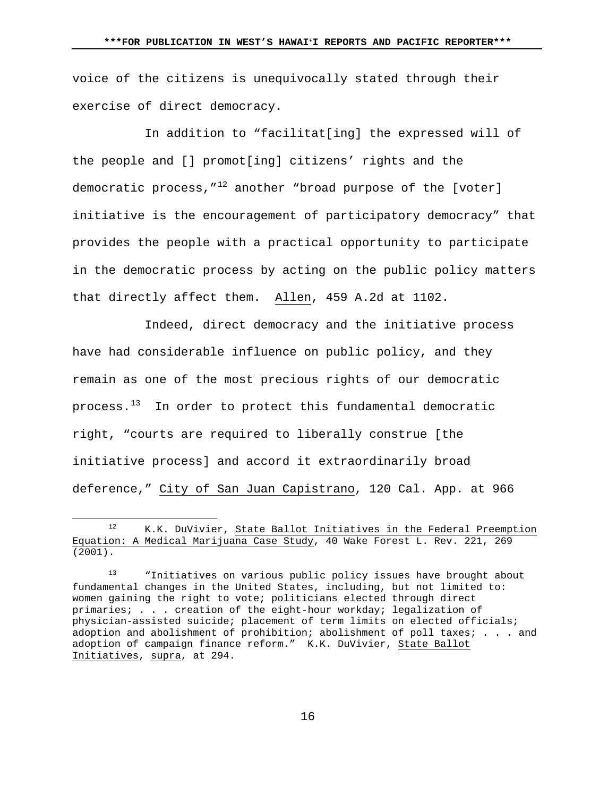voice of the citizens is unequivocally stated through their exercise of direct democracy.

In addition to "facilitat[ing] the expressed will of the people and [] promot[ing] citizens' rights and the democratic process,  $^{\prime\prime}$  another "broad purpose of the [voter] initiative is the encouragement of participatory democracy" that provides the people with a practical opportunity to participate in the democratic process by acting on the public policy matters that directly affect them. Allen, 459 A.2d at 1102.

Indeed, direct democracy and the initiative process have had considerable influence on public policy, and they remain as one of the most precious rights of our democratic process.<sup>[13](#page-15-1)</sup> In order to protect this fundamental democratic right, "courts are required to liberally construe [the initiative process] and accord it extraordinarily broad deference," City of San Juan Capistrano, 120 Cal. App. at 966

 $\overline{a}$ 

<span id="page-15-0"></span><sup>12</sup> K.K. DuVivier, State Ballot Initiatives in the Federal Preemption Equation: A Medical Marijuana Case Study, 40 Wake Forest L. Rev. 221, 269  $(2001)$ .

<span id="page-15-1"></span><sup>&</sup>quot;Initiatives on various public policy issues have brought about fundamental changes in the United States, including, but not limited to: women gaining the right to vote; politicians elected through direct primaries; . . . creation of the eight-hour workday; legalization of physician-assisted suicide; placement of term limits on elected officials; adoption and abolishment of prohibition; abolishment of poll taxes; . . . and adoption of campaign finance reform." K.K. DuVivier, State Ballot Initiatives, supra, at 294.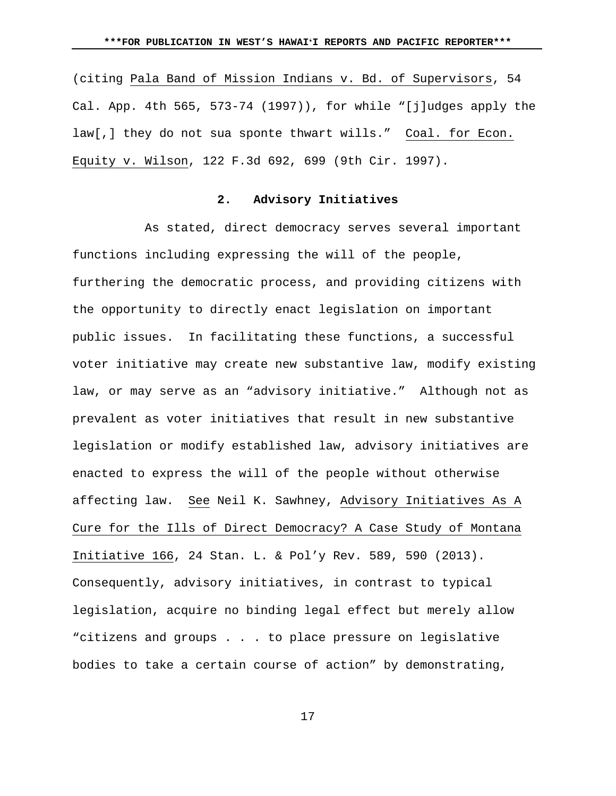(citing Pala Band of Mission Indians v. Bd. of Supervisors, 54 Cal. App. 4th 565, 573-74 (1997)), for while "[j]udges apply the law[,] they do not sua sponte thwart wills." Coal. for Econ. Equity v. Wilson, 122 F.3d 692, 699 (9th Cir. 1997).

# **2. Advisory Initiatives**

As stated, direct democracy serves several important functions including expressing the will of the people, furthering the democratic process, and providing citizens with the opportunity to directly enact legislation on important public issues. In facilitating these functions, a successful voter initiative may create new substantive law, modify existing law, or may serve as an "advisory initiative." Although not as prevalent as voter initiatives that result in new substantive legislation or modify established law, advisory initiatives are enacted to express the will of the people without otherwise affecting law. See Neil K. Sawhney, Advisory Initiatives As A Cure for the Ills of Direct Democracy? A Case Study of Montana Initiative 166, 24 Stan. L. & Pol'y Rev. 589, 590 (2013). Consequently, advisory initiatives, in contrast to typical legislation, acquire no binding legal effect but merely allow "citizens and groups . . . to place pressure on legislative bodies to take a certain course of action" by demonstrating,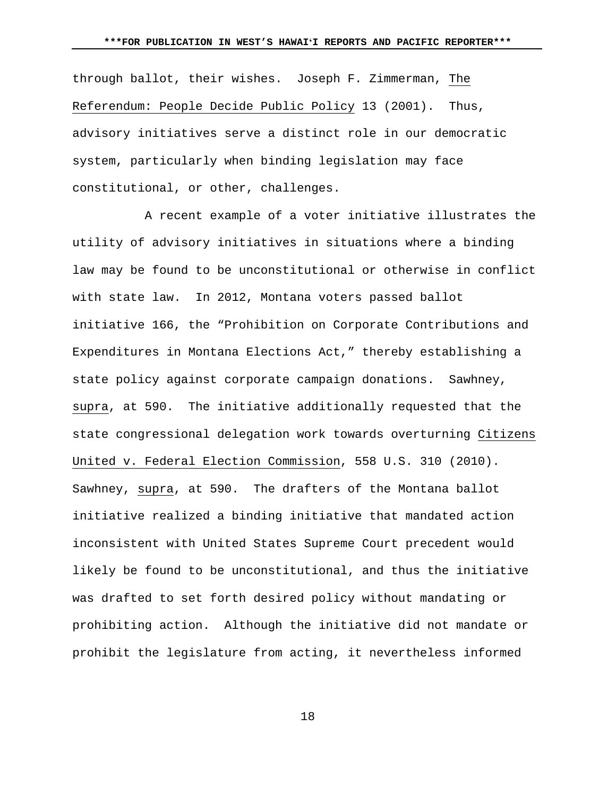through ballot, their wishes. Joseph F. Zimmerman, The Referendum: People Decide Public Policy 13 (2001). Thus, advisory initiatives serve a distinct role in our democratic system, particularly when binding legislation may face constitutional, or other, challenges.

A recent example of a voter initiative illustrates the utility of advisory initiatives in situations where a binding law may be found to be unconstitutional or otherwise in conflict with state law. In 2012, Montana voters passed ballot initiative 166, the "Prohibition on Corporate Contributions and Expenditures in Montana Elections Act," thereby establishing a state policy against corporate campaign donations. Sawhney, supra, at 590. The initiative additionally requested that the state congressional delegation work towards overturning Citizens United v. Federal Election Commission, 558 U.S. 310 (2010). Sawhney, supra, at 590. The drafters of the Montana ballot initiative realized a binding initiative that mandated action inconsistent with United States Supreme Court precedent would likely be found to be unconstitutional, and thus the initiative was drafted to set forth desired policy without mandating or prohibiting action. Although the initiative did not mandate or prohibit the legislature from acting, it nevertheless informed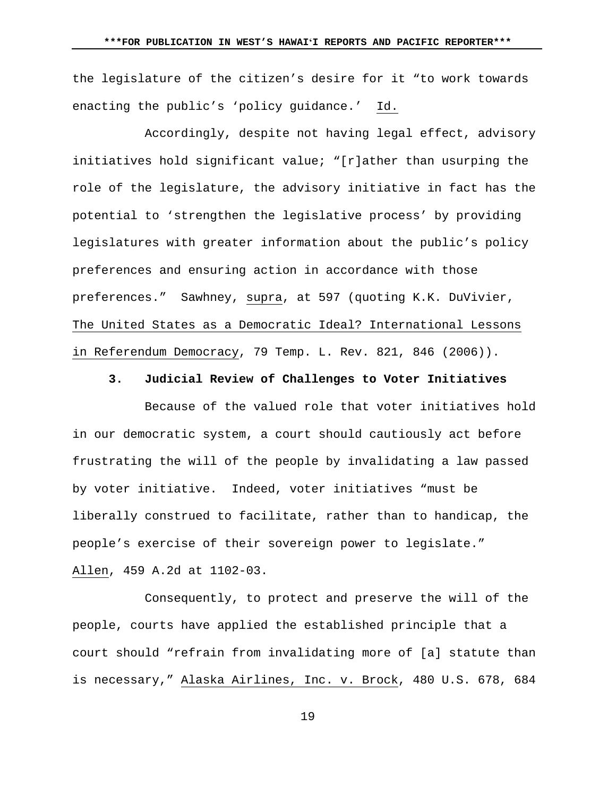the legislature of the citizen's desire for it "to work towards enacting the public's 'policy guidance.' Id.

Accordingly, despite not having legal effect, advisory initiatives hold significant value; "[r]ather than usurping the role of the legislature, the advisory initiative in fact has the potential to 'strengthen the legislative process' by providing legislatures with greater information about the public's policy preferences and ensuring action in accordance with those preferences." Sawhney, supra, at 597 (quoting K.K. DuVivier, The United States as a Democratic Ideal? International Lessons in Referendum Democracy, 79 Temp. L. Rev. 821, 846 (2006)).

#### **3. Judicial Review of Challenges to Voter Initiatives**

Because of the valued role that voter initiatives hold in our democratic system, a court should cautiously act before frustrating the will of the people by invalidating a law passed by voter initiative. Indeed, voter initiatives "must be liberally construed to facilitate, rather than to handicap, the people's exercise of their sovereign power to legislate." Allen, 459 A.2d at 1102-03.

Consequently, to protect and preserve the will of the people, courts have applied the established principle that a court should "refrain from invalidating more of [a] statute than is necessary," Alaska Airlines, Inc. v. Brock, 480 U.S. 678, 684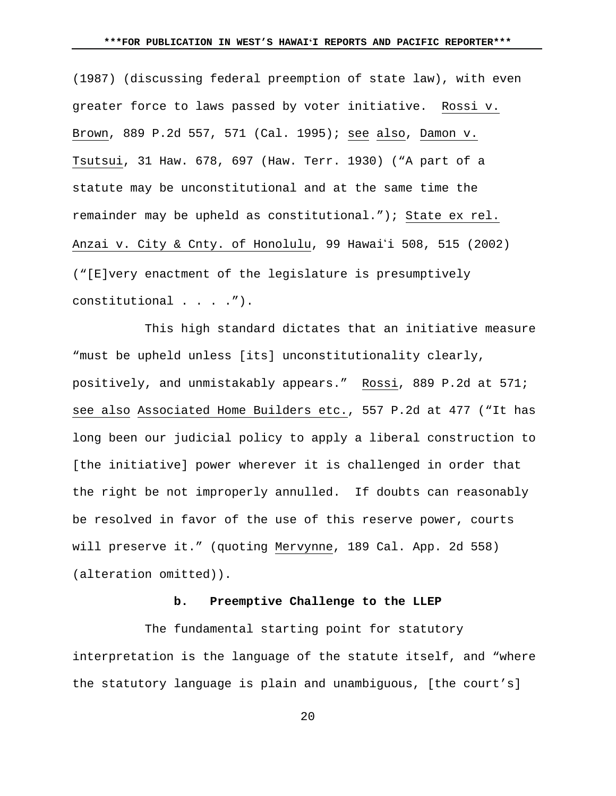(1987) (discussing federal preemption of state law), with even greater force to laws passed by voter initiative. Rossi v. Brown, 889 P.2d 557, 571 (Cal. 1995); see also, Damon v. Tsutsui, 31 Haw. 678, 697 (Haw. Terr. 1930) ("A part of a statute may be unconstitutional and at the same time the remainder may be upheld as constitutional."); State ex rel. Anzai v. City & Cnty. of Honolulu, 99 Hawai'i 508, 515 (2002) ("[E]very enactment of the legislature is presumptively constitutional . . . .").

This high standard dictates that an initiative measure "must be upheld unless [its] unconstitutionality clearly, positively, and unmistakably appears." Rossi, 889 P.2d at 571; see also Associated Home Builders etc., 557 P.2d at 477 ("It has long been our judicial policy to apply a liberal construction to [the initiative] power wherever it is challenged in order that the right be not improperly annulled. If doubts can reasonably be resolved in favor of the use of this reserve power, courts will preserve it." (quoting Mervynne, 189 Cal. App. 2d 558) (alteration omitted)).

# **b. Preemptive Challenge to the LLEP**

The fundamental starting point for statutory interpretation is the language of the statute itself, and "where the statutory language is plain and unambiguous, [the court's]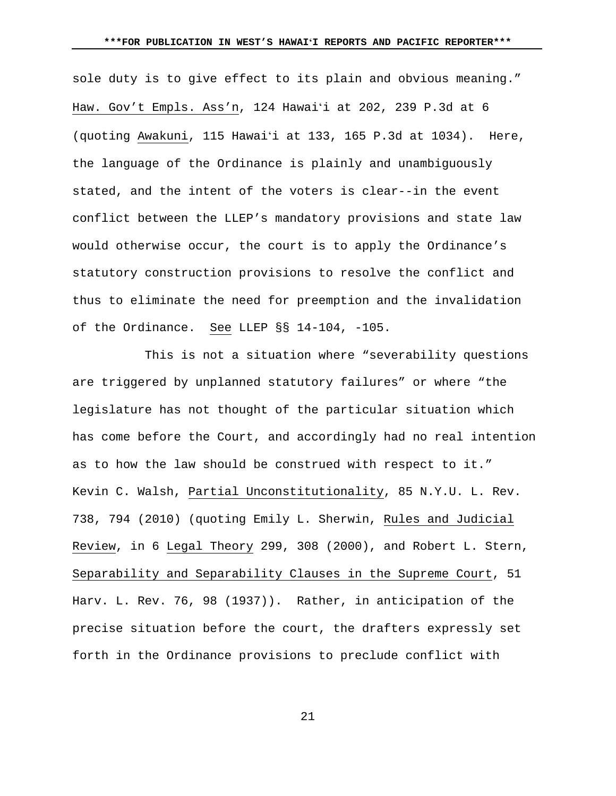sole duty is to give effect to its plain and obvious meaning." Haw. Gov't Empls. Ass'n, 124 Hawaiʻi at 202, 239 P.3d at 6 (quoting Awakuni, 115 Hawaiʻi at 133, 165 P.3d at 1034). Here, the language of the Ordinance is plainly and unambiguously stated, and the intent of the voters is clear--in the event conflict between the LLEP's mandatory provisions and state law would otherwise occur, the court is to apply the Ordinance's statutory construction provisions to resolve the conflict and thus to eliminate the need for preemption and the invalidation of the Ordinance. See LLEP §§ 14-104, -105.

This is not a situation where "severability questions are triggered by unplanned statutory failures" or where "the legislature has not thought of the particular situation which has come before the Court, and accordingly had no real intention as to how the law should be construed with respect to it." Kevin C. Walsh, Partial Unconstitutionality, 85 N.Y.U. L. Rev. 738, 794 (2010) (quoting Emily L. Sherwin, Rules and Judicial Review, in 6 Legal Theory 299, 308 (2000), and Robert L. Stern, Separability and Separability Clauses in the Supreme Court, 51 Harv. L. Rev. 76, 98 (1937)). Rather, in anticipation of the precise situation before the court, the drafters expressly set forth in the Ordinance provisions to preclude conflict with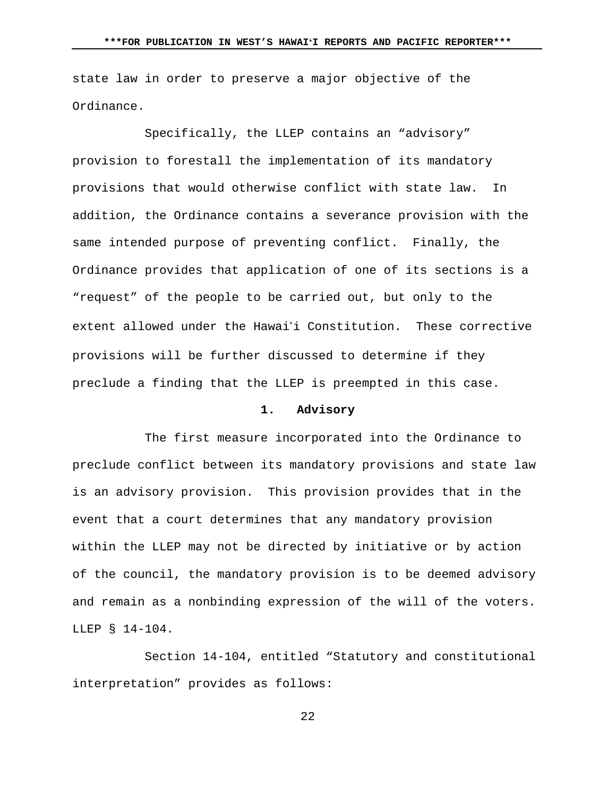state law in order to preserve a major objective of the Ordinance.

Specifically, the LLEP contains an "advisory" provision to forestall the implementation of its mandatory provisions that would otherwise conflict with state law. In addition, the Ordinance contains a severance provision with the same intended purpose of preventing conflict. Finally, the Ordinance provides that application of one of its sections is a "request" of the people to be carried out, but only to the extent allowed under the Hawai'i Constitution. These corrective provisions will be further discussed to determine if they preclude a finding that the LLEP is preempted in this case.

#### **1. Advisory**

The first measure incorporated into the Ordinance to preclude conflict between its mandatory provisions and state law is an advisory provision. This provision provides that in the event that a court determines that any mandatory provision within the LLEP may not be directed by initiative or by action of the council, the mandatory provision is to be deemed advisory and remain as a nonbinding expression of the will of the voters. LLEP § 14-104.

Section 14-104, entitled "Statutory and constitutional interpretation" provides as follows: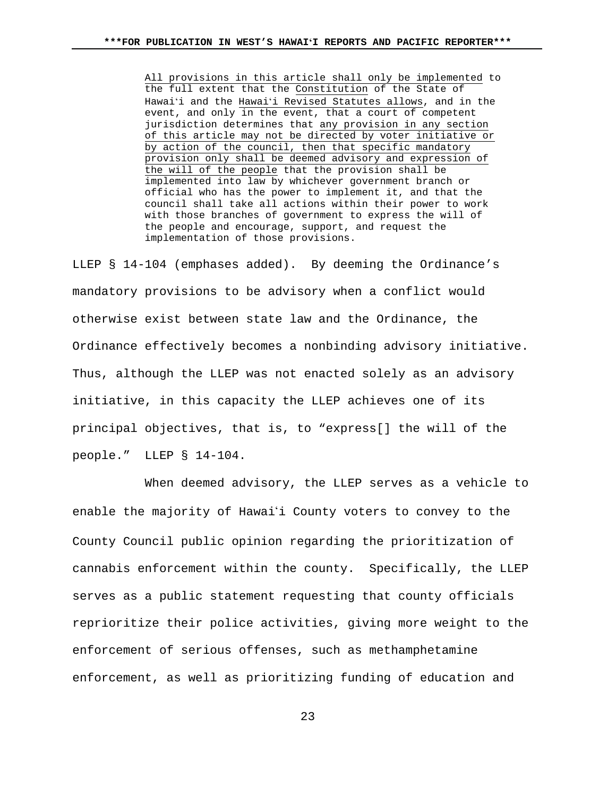All provisions in this article shall only be implemented to the full extent that the Constitution of the State of Hawaiʻi and the Hawaiʻi Revised Statutes allows, and in the event, and only in the event, that a court of competent jurisdiction determines that any provision in any section of this article may not be directed by voter initiative or by action of the council, then that specific mandatory provision only shall be deemed advisory and expression of the will of the people that the provision shall be implemented into law by whichever government branch or official who has the power to implement it, and that the council shall take all actions within their power to work with those branches of government to express the will of the people and encourage, support, and request the implementation of those provisions.

LLEP § 14-104 (emphases added). By deeming the Ordinance's mandatory provisions to be advisory when a conflict would otherwise exist between state law and the Ordinance, the Ordinance effectively becomes a nonbinding advisory initiative. Thus, although the LLEP was not enacted solely as an advisory initiative, in this capacity the LLEP achieves one of its principal objectives, that is, to "express[] the will of the people." LLEP § 14-104.

When deemed advisory, the LLEP serves as a vehicle to enable the majority of Hawai'i County voters to convey to the County Council public opinion regarding the prioritization of cannabis enforcement within the county. Specifically, the LLEP serves as a public statement requesting that county officials reprioritize their police activities, giving more weight to the enforcement of serious offenses, such as methamphetamine enforcement, as well as prioritizing funding of education and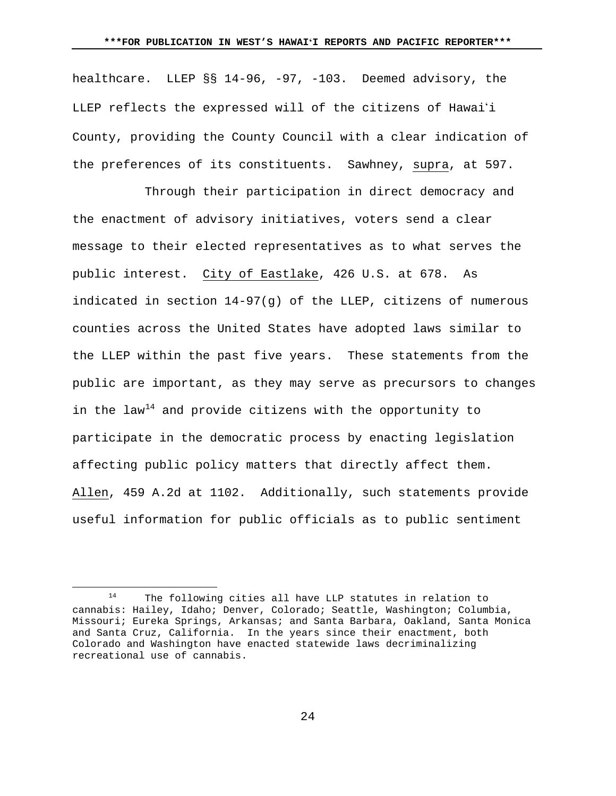healthcare. LLEP §§ 14-96, -97, -103. Deemed advisory, the LLEP reflects the expressed will of the citizens of Hawai'i County, providing the County Council with a clear indication of the preferences of its constituents. Sawhney, supra, at 597.

Through their participation in direct democracy and the enactment of advisory initiatives, voters send a clear message to their elected representatives as to what serves the public interest. City of Eastlake, 426 U.S. at 678. As indicated in section 14-97(g) of the LLEP, citizens of numerous counties across the United States have adopted laws similar to the LLEP within the past five years. These statements from the public are important, as they may serve as precursors to changes in the law<sup>[14](#page-23-0)</sup> and provide citizens with the opportunity to participate in the democratic process by enacting legislation affecting public policy matters that directly affect them. Allen, 459 A.2d at 1102. Additionally, such statements provide useful information for public officials as to public sentiment

 $\overline{a}$ 

<span id="page-23-0"></span><sup>14</sup> The following cities all have LLP statutes in relation to cannabis: Hailey, Idaho; Denver, Colorado; Seattle, Washington; Columbia, Missouri; Eureka Springs, Arkansas; and Santa Barbara, Oakland, Santa Monica and Santa Cruz, California. In the years since their enactment, both Colorado and Washington have enacted statewide laws decriminalizing recreational use of cannabis.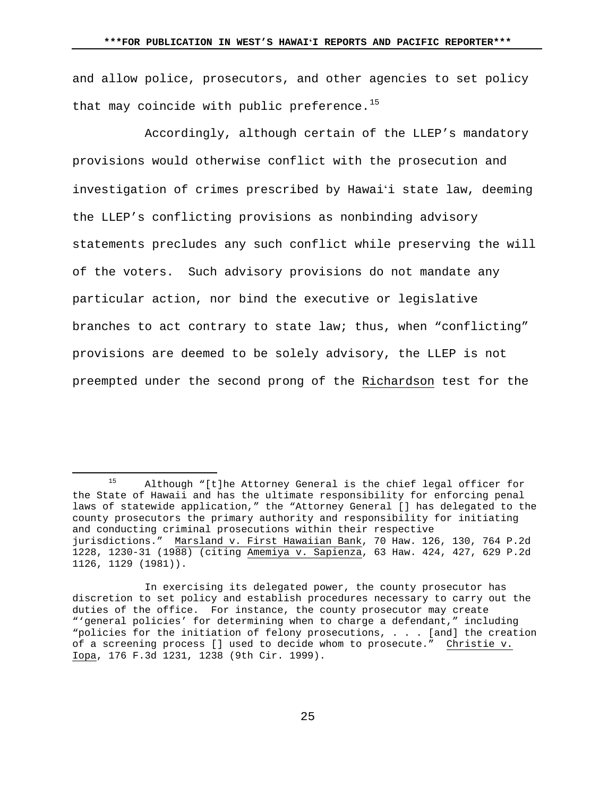and allow police, prosecutors, and other agencies to set policy that may coincide with public preference.<sup>[15](#page-24-0)</sup>

Accordingly, although certain of the LLEP's mandatory provisions would otherwise conflict with the prosecution and investigation of crimes prescribed by Hawaiʻi state law, deeming the LLEP's conflicting provisions as nonbinding advisory statements precludes any such conflict while preserving the will of the voters. Such advisory provisions do not mandate any particular action, nor bind the executive or legislative branches to act contrary to state law; thus, when "conflicting" provisions are deemed to be solely advisory, the LLEP is not preempted under the second prong of the Richardson test for the

 $\overline{a}$ 

<span id="page-24-0"></span><sup>15</sup> Although "[t]he Attorney General is the chief legal officer for the State of Hawaii and has the ultimate responsibility for enforcing penal laws of statewide application," the "Attorney General [] has delegated to the county prosecutors the primary authority and responsibility for initiating and conducting criminal prosecutions within their respective jurisdictions." Marsland v. First Hawaiian Bank, 70 Haw. 126, 130, 764 P.2d 1228, 1230-31 (1988) (citing Amemiya v. Sapienza, 63 Haw. 424, 427, 629 P.2d 1126, 1129 (1981)).

In exercising its delegated power, the county prosecutor has discretion to set policy and establish procedures necessary to carry out the duties of the office. For instance, the county prosecutor may create "'general policies' for determining when to charge a defendant," including "policies for the initiation of felony prosecutions, . . . [and] the creation of a screening process [] used to decide whom to prosecute." Christie v. Iopa, 176 F.3d 1231, 1238 (9th Cir. 1999).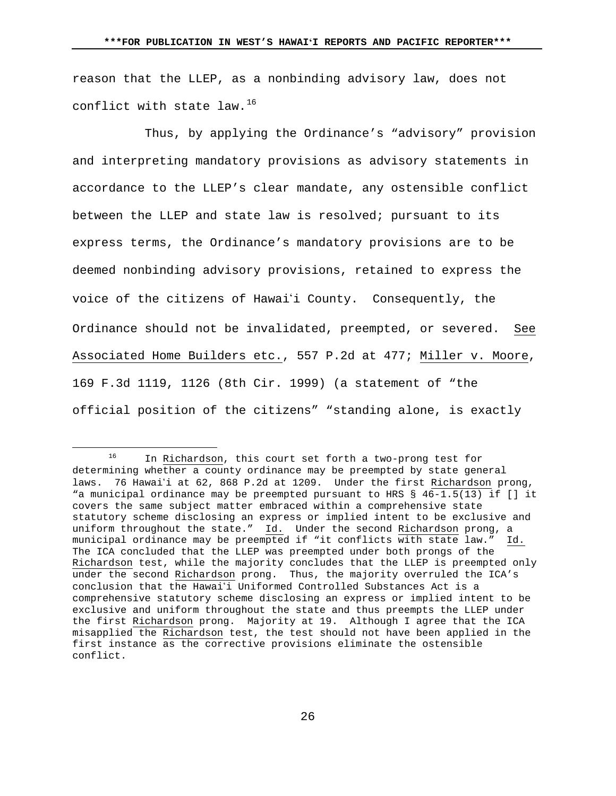reason that the LLEP, as a nonbinding advisory law, does not conflict with state law.<sup>[16](#page-25-0)</sup>

Thus, by applying the Ordinance's "advisory" provision and interpreting mandatory provisions as advisory statements in accordance to the LLEP's clear mandate, any ostensible conflict between the LLEP and state law is resolved; pursuant to its express terms, the Ordinance's mandatory provisions are to be deemed nonbinding advisory provisions, retained to express the voice of the citizens of Hawaii County. Consequently, the Ordinance should not be invalidated, preempted, or severed. See Associated Home Builders etc., 557 P.2d at 477; Miller v. Moore, 169 F.3d 1119, 1126 (8th Cir. 1999) (a statement of "the official position of the citizens" "standing alone, is exactly

 $\overline{a}$ 

<span id="page-25-0"></span>In Richardson, this court set forth a two-prong test for determining whether a county ordinance may be preempted by state general laws. 76 Hawai'i at 62, 868 P.2d at 1209. Under the first Richardson prong, "a municipal ordinance may be preempted pursuant to HRS § 46-1.5(13) if [] it covers the same subject matter embraced within a comprehensive state statutory scheme disclosing an express or implied intent to be exclusive and uniform throughout the state." Id. Under the second Richardson prong, a municipal ordinance may be preempted if "it conflicts with state law." Id. The ICA concluded that the LLEP was preempted under both prongs of the Richardson test, while the majority concludes that the LLEP is preempted only under the second Richardson prong. Thus, the majority overruled the ICA's conclusion that the Hawai'i Uniformed Controlled Substances Act is a comprehensive statutory scheme disclosing an express or implied intent to be exclusive and uniform throughout the state and thus preempts the LLEP under the first Richardson prong. Majority at 19. Although I agree that the ICA misapplied the Richardson test, the test should not have been applied in the first instance as the corrective provisions eliminate the ostensible conflict.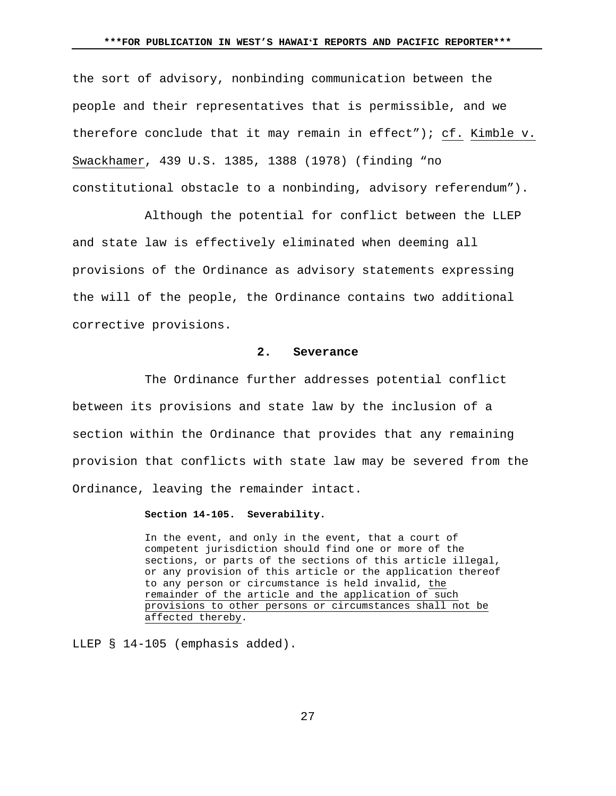the sort of advisory, nonbinding communication between the people and their representatives that is permissible, and we therefore conclude that it may remain in effect"); cf. Kimble v. Swackhamer, 439 U.S. 1385, 1388 (1978) (finding "no constitutional obstacle to a nonbinding, advisory referendum").

Although the potential for conflict between the LLEP and state law is effectively eliminated when deeming all provisions of the Ordinance as advisory statements expressing the will of the people, the Ordinance contains two additional corrective provisions.

### **2. Severance**

The Ordinance further addresses potential conflict between its provisions and state law by the inclusion of a section within the Ordinance that provides that any remaining provision that conflicts with state law may be severed from the Ordinance, leaving the remainder intact.

# **Section 14-105. Severability.**

In the event, and only in the event, that a court of competent jurisdiction should find one or more of the sections, or parts of the sections of this article illegal, or any provision of this article or the application thereof to any person or circumstance is held invalid, the remainder of the article and the application of such provisions to other persons or circumstances shall not be affected thereby.

LLEP § 14-105 (emphasis added).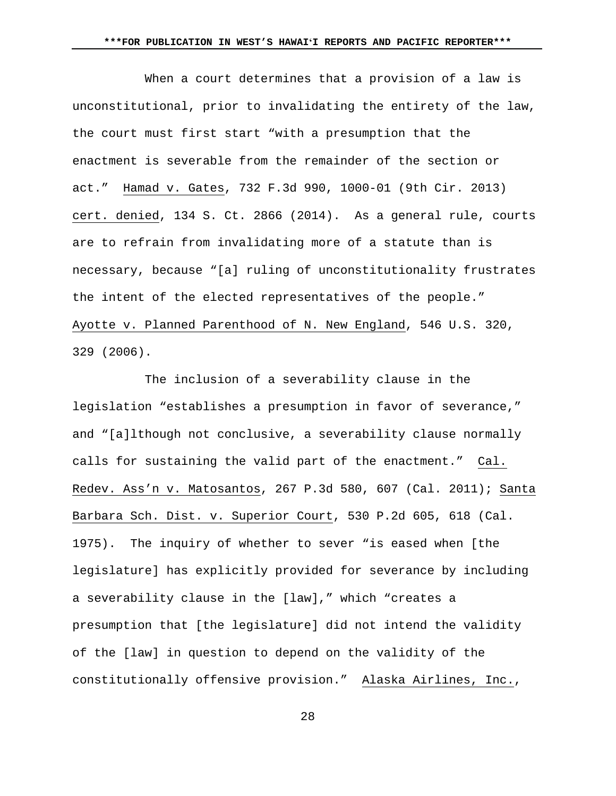When a court determines that a provision of a law is unconstitutional, prior to invalidating the entirety of the law, the court must first start "with a presumption that the enactment is severable from the remainder of the section or act." Hamad v. Gates, 732 F.3d 990, 1000-01 (9th Cir. 2013) cert. denied, 134 S. Ct. 2866 (2014). As a general rule, courts are to refrain from invalidating more of a statute than is necessary, because "[a] ruling of unconstitutionality frustrates the intent of the elected representatives of the people." Ayotte v. Planned Parenthood of N. New England, 546 U.S. 320, 329 (2006).

The inclusion of a severability clause in the legislation "establishes a presumption in favor of severance," and "[a]lthough not conclusive, a severability clause normally calls for sustaining the valid part of the enactment." Cal. Redev. Ass'n v. Matosantos, 267 P.3d 580, 607 (Cal. 2011); Santa Barbara Sch. Dist. v. Superior Court, 530 P.2d 605, 618 (Cal. 1975). The inquiry of whether to sever "is eased when [the legislature] has explicitly provided for severance by including a severability clause in the [law]," which "creates a presumption that [the legislature] did not intend the validity of the [law] in question to depend on the validity of the constitutionally offensive provision." Alaska Airlines, Inc.,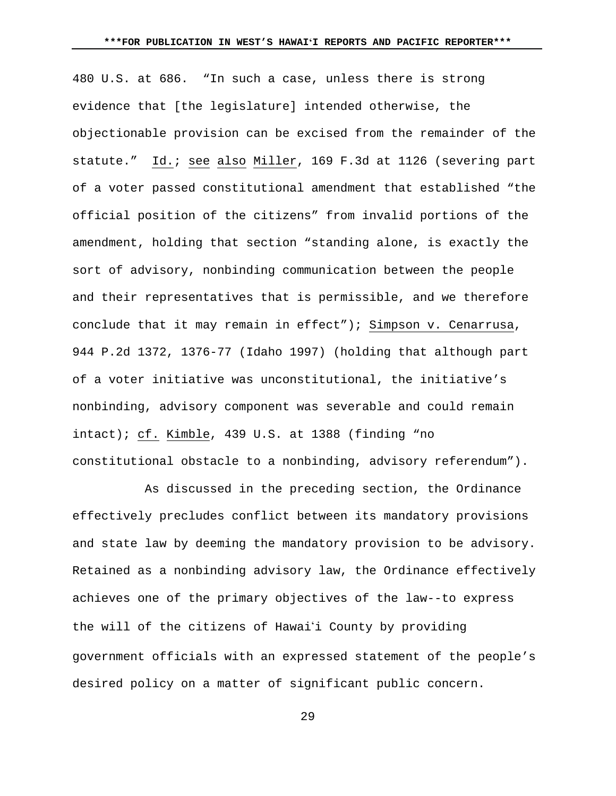480 U.S. at 686. "In such a case, unless there is strong evidence that [the legislature] intended otherwise, the objectionable provision can be excised from the remainder of the statute." Id.; see also Miller, 169 F.3d at 1126 (severing part of a voter passed constitutional amendment that established "the official position of the citizens" from invalid portions of the amendment, holding that section "standing alone, is exactly the sort of advisory, nonbinding communication between the people and their representatives that is permissible, and we therefore conclude that it may remain in effect"); Simpson v. Cenarrusa, 944 P.2d 1372, 1376-77 (Idaho 1997) (holding that although part of a voter initiative was unconstitutional, the initiative's nonbinding, advisory component was severable and could remain intact); cf. Kimble, 439 U.S. at 1388 (finding "no constitutional obstacle to a nonbinding, advisory referendum").

As discussed in the preceding section, the Ordinance effectively precludes conflict between its mandatory provisions and state law by deeming the mandatory provision to be advisory. Retained as a nonbinding advisory law, the Ordinance effectively achieves one of the primary objectives of the law--to express the will of the citizens of Hawaii County by providing government officials with an expressed statement of the people's desired policy on a matter of significant public concern.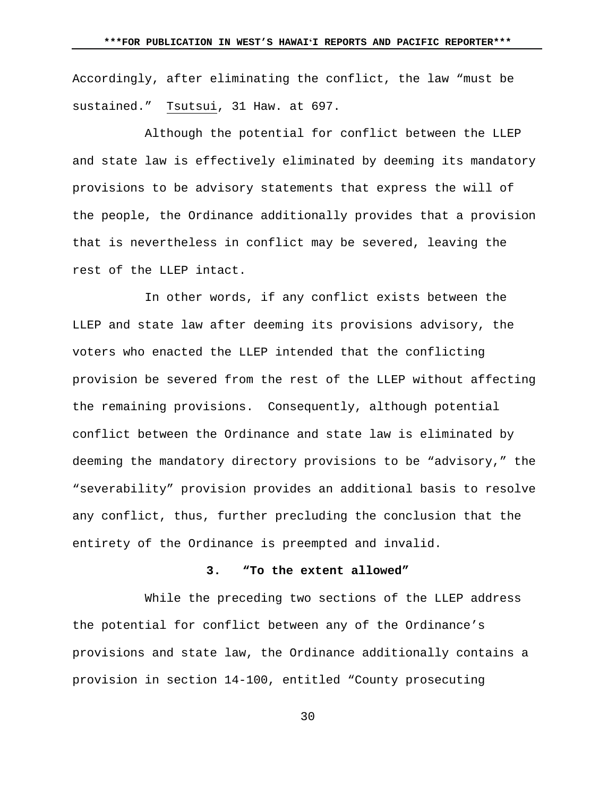Accordingly, after eliminating the conflict, the law "must be sustained." Tsutsui, 31 Haw. at 697.

Although the potential for conflict between the LLEP and state law is effectively eliminated by deeming its mandatory provisions to be advisory statements that express the will of the people, the Ordinance additionally provides that a provision that is nevertheless in conflict may be severed, leaving the rest of the LLEP intact.

In other words, if any conflict exists between the LLEP and state law after deeming its provisions advisory, the voters who enacted the LLEP intended that the conflicting provision be severed from the rest of the LLEP without affecting the remaining provisions. Consequently, although potential conflict between the Ordinance and state law is eliminated by deeming the mandatory directory provisions to be "advisory," the "severability" provision provides an additional basis to resolve any conflict, thus, further precluding the conclusion that the entirety of the Ordinance is preempted and invalid.

#### **3. "To the extent allowed"**

While the preceding two sections of the LLEP address the potential for conflict between any of the Ordinance's provisions and state law, the Ordinance additionally contains a provision in section 14-100, entitled "County prosecuting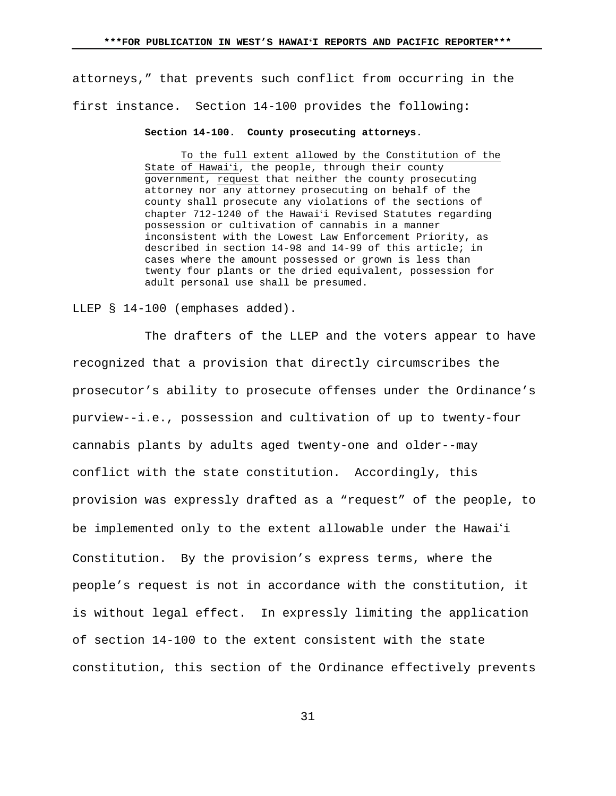attorneys," that prevents such conflict from occurring in the first instance. Section 14-100 provides the following:

#### **Section 14-100. County prosecuting attorneys.**

To the full extent allowed by the Constitution of the State of Hawaiʻi, the people, through their county government, request that neither the county prosecuting attorney nor any attorney prosecuting on behalf of the county shall prosecute any violations of the sections of chapter 712-1240 of the Hawaiʻi Revised Statutes regarding possession or cultivation of cannabis in a manner inconsistent with the Lowest Law Enforcement Priority, as described in section 14-98 and 14-99 of this article; in cases where the amount possessed or grown is less than twenty four plants or the dried equivalent, possession for adult personal use shall be presumed.

### LLEP § 14-100 (emphases added).

The drafters of the LLEP and the voters appear to have recognized that a provision that directly circumscribes the prosecutor's ability to prosecute offenses under the Ordinance's purview--i.e., possession and cultivation of up to twenty-four cannabis plants by adults aged twenty-one and older--may conflict with the state constitution. Accordingly, this provision was expressly drafted as a "request" of the people, to be implemented only to the extent allowable under the Hawai'i Constitution. By the provision's express terms, where the people's request is not in accordance with the constitution, it is without legal effect. In expressly limiting the application of section 14-100 to the extent consistent with the state constitution, this section of the Ordinance effectively prevents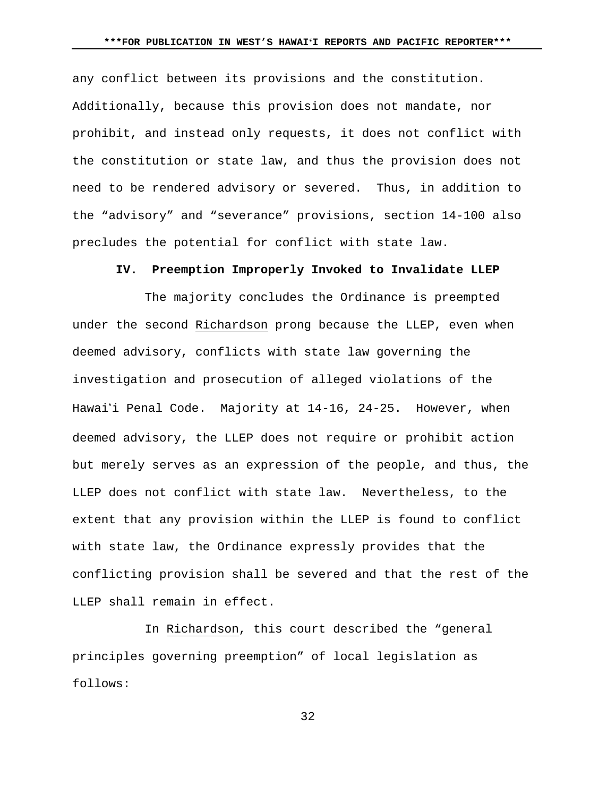any conflict between its provisions and the constitution. Additionally, because this provision does not mandate, nor prohibit, and instead only requests, it does not conflict with the constitution or state law, and thus the provision does not need to be rendered advisory or severed. Thus, in addition to the "advisory" and "severance" provisions, section 14-100 also precludes the potential for conflict with state law.

### **IV. Preemption Improperly Invoked to Invalidate LLEP**

The majority concludes the Ordinance is preempted under the second Richardson prong because the LLEP, even when deemed advisory, conflicts with state law governing the investigation and prosecution of alleged violations of the Hawai'i Penal Code. Majority at 14-16, 24-25. However, when deemed advisory, the LLEP does not require or prohibit action but merely serves as an expression of the people, and thus, the LLEP does not conflict with state law. Nevertheless, to the extent that any provision within the LLEP is found to conflict with state law, the Ordinance expressly provides that the conflicting provision shall be severed and that the rest of the LLEP shall remain in effect.

In Richardson, this court described the "general principles governing preemption" of local legislation as follows: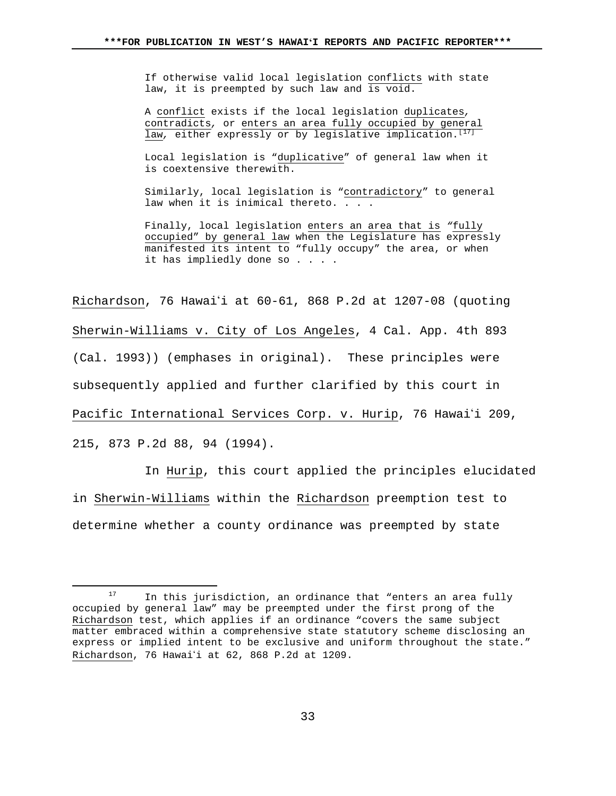If otherwise valid local legislation conflicts with state law, it is preempted by such law and is void.

A conflict exists if the local legislation duplicates*,*  contradicts*,* or enters an area fully occupied by general law, either expressly or by legislative implication.<sup>[[17](#page-32-0)]</sup>

Local legislation is "duplicative" of general law when it is coextensive therewith.

Similarly, local legislation is "contradictory" to general law when it is inimical thereto. . . .

Finally, local legislation enters an area that is *"*fully occupied" by general law when the Legislature has expressly manifested its intent to "fully occupy" the area, or when it has impliedly done so . . . .

Richardson, 76 Hawaii at 60-61, 868 P.2d at 1207-08 (quoting Sherwin-Williams v. City of Los Angeles, 4 Cal. App. 4th 893 (Cal. 1993)) (emphases in original). These principles were subsequently applied and further clarified by this court in Pacific International Services Corp. v. Hurip, 76 Hawai'i 209, 215, 873 P.2d 88, 94 (1994).

In Hurip, this court applied the principles elucidated in Sherwin-Williams within the Richardson preemption test to determine whether a county ordinance was preempted by state

 $\overline{a}$ 

<span id="page-32-0"></span>In this jurisdiction, an ordinance that "enters an area fully occupied by general law" may be preempted under the first prong of the Richardson test, which applies if an ordinance "covers the same subject matter embraced within a comprehensive state statutory scheme disclosing an express or implied intent to be exclusive and uniform throughout the state." Richardson, 76 Hawai'i at 62, 868 P.2d at 1209.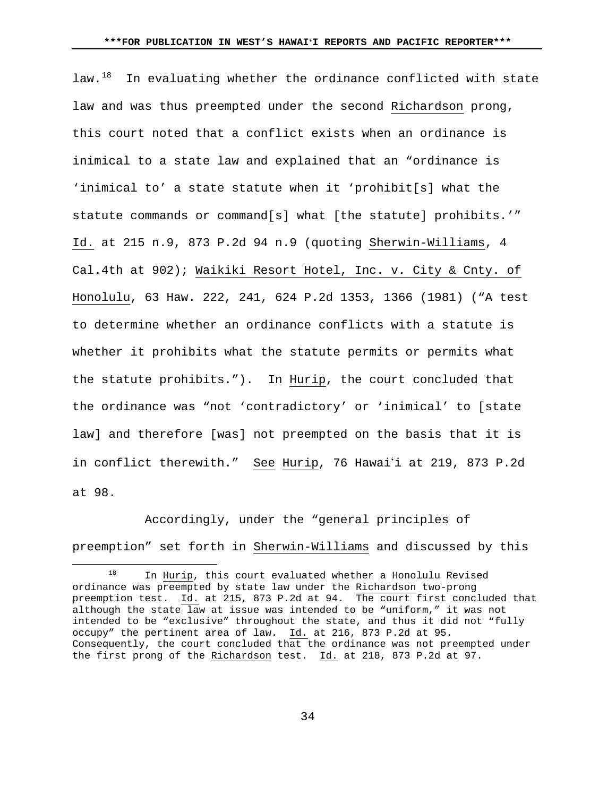law.<sup>18</sup> In evaluating whether the ordinance conflicted with state law and was thus preempted under the second Richardson prong, this court noted that a conflict exists when an ordinance is inimical to a state law and explained that an "ordinance is 'inimical to' a state statute when it 'prohibit[s] what the statute commands or command[s] what [the statute] prohibits.'" Id. at 215 n.9, 873 P.2d 94 n.9 (quoting Sherwin-Williams, 4 Cal.4th at 902); Waikiki Resort Hotel, Inc. v. City & Cnty. of Honolulu, 63 Haw. 222, 241, 624 P.2d 1353, 1366 (1981) ("A test to determine whether an ordinance conflicts with a statute is whether it prohibits what the statute permits or permits what the statute prohibits."). In Hurip, the court concluded that the ordinance was "not 'contradictory' or 'inimical' to [state law] and therefore [was] not preempted on the basis that it is in conflict therewith." See Hurip, 76 Hawai'i at 219, 873 P.2d at 98.

Accordingly, under the "general principles of preemption" set forth in Sherwin-Williams and discussed by this

 $\overline{a}$ 

<span id="page-33-0"></span>In Hurip, this court evaluated whether a Honolulu Revised ordinance was preempted by state law under the Richardson two-prong preemption test. Id. at 215, 873 P.2d at 94. The court first concluded that although the state law at issue was intended to be "uniform," it was not intended to be "exclusive" throughout the state, and thus it did not "fully occupy" the pertinent area of law. Id. at 216, 873 P.2d at 95. Consequently, the court concluded that the ordinance was not preempted under the first prong of the Richardson test. Id. at 218, 873 P.2d at 97.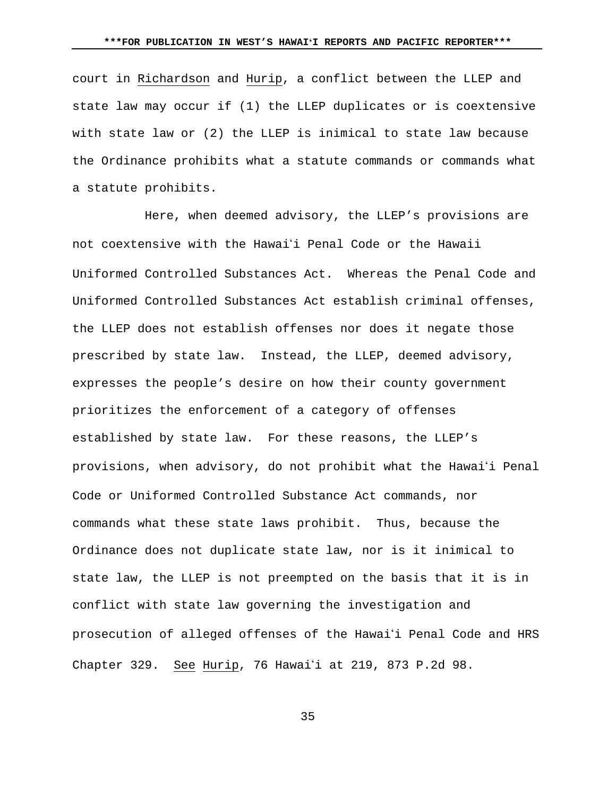court in Richardson and Hurip, a conflict between the LLEP and state law may occur if (1) the LLEP duplicates or is coextensive with state law or (2) the LLEP is inimical to state law because the Ordinance prohibits what a statute commands or commands what a statute prohibits.

Here, when deemed advisory, the LLEP's provisions are not coextensive with the Hawaii Penal Code or the Hawaii Uniformed Controlled Substances Act. Whereas the Penal Code and Uniformed Controlled Substances Act establish criminal offenses, the LLEP does not establish offenses nor does it negate those prescribed by state law. Instead, the LLEP, deemed advisory, expresses the people's desire on how their county government prioritizes the enforcement of a category of offenses established by state law. For these reasons, the LLEP's provisions, when advisory, do not prohibit what the Hawai'i Penal Code or Uniformed Controlled Substance Act commands, nor commands what these state laws prohibit. Thus, because the Ordinance does not duplicate state law, nor is it inimical to state law, the LLEP is not preempted on the basis that it is in conflict with state law governing the investigation and prosecution of alleged offenses of the Hawai'i Penal Code and HRS Chapter 329. See Hurip, 76 Hawai'i at 219, 873 P.2d 98.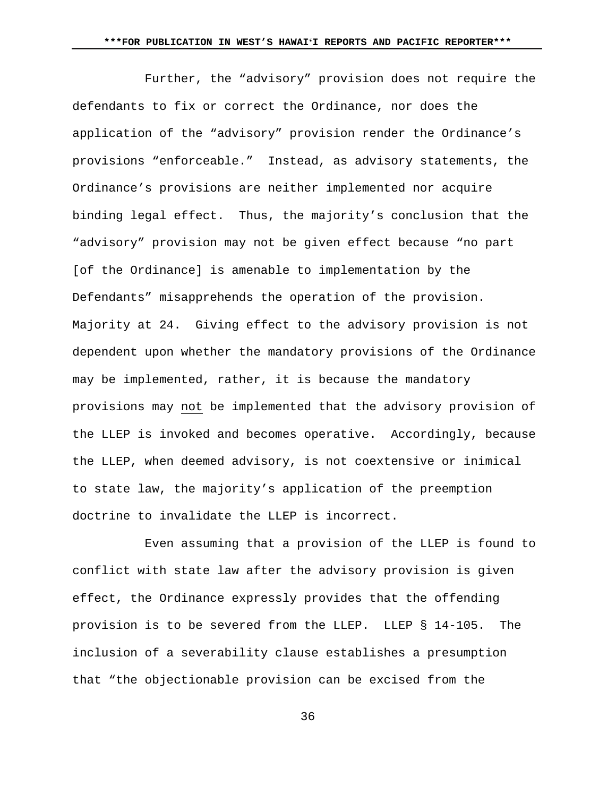Further, the "advisory" provision does not require the defendants to fix or correct the Ordinance, nor does the application of the "advisory" provision render the Ordinance's provisions "enforceable." Instead, as advisory statements, the Ordinance's provisions are neither implemented nor acquire binding legal effect. Thus, the majority's conclusion that the "advisory" provision may not be given effect because "no part [of the Ordinance] is amenable to implementation by the Defendants" misapprehends the operation of the provision. Majority at 24. Giving effect to the advisory provision is not dependent upon whether the mandatory provisions of the Ordinance may be implemented, rather, it is because the mandatory provisions may not be implemented that the advisory provision of the LLEP is invoked and becomes operative. Accordingly, because the LLEP, when deemed advisory, is not coextensive or inimical to state law, the majority's application of the preemption doctrine to invalidate the LLEP is incorrect.

Even assuming that a provision of the LLEP is found to conflict with state law after the advisory provision is given effect, the Ordinance expressly provides that the offending provision is to be severed from the LLEP. LLEP § 14-105. The inclusion of a severability clause establishes a presumption that "the objectionable provision can be excised from the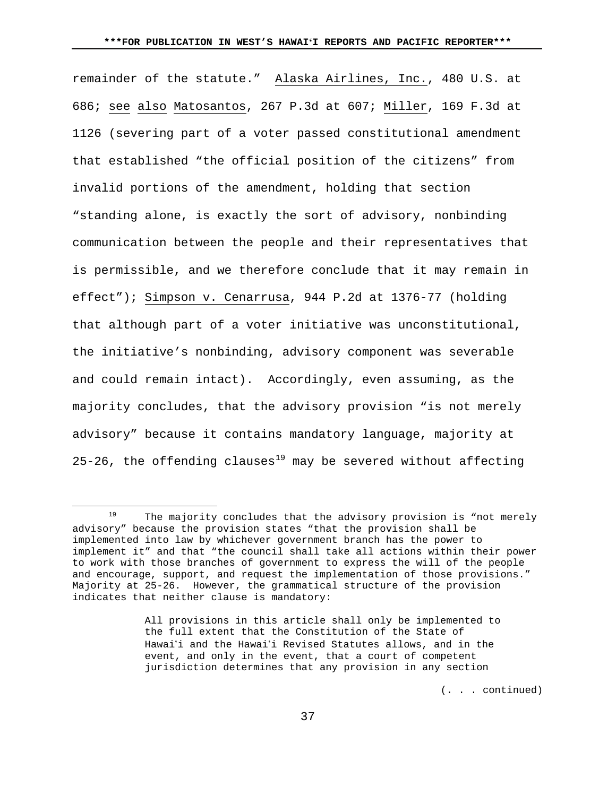remainder of the statute." Alaska Airlines, Inc., 480 U.S. at 686; see also Matosantos, 267 P.3d at 607; Miller, 169 F.3d at 1126 (severing part of a voter passed constitutional amendment that established "the official position of the citizens" from invalid portions of the amendment, holding that section "standing alone, is exactly the sort of advisory, nonbinding communication between the people and their representatives that is permissible, and we therefore conclude that it may remain in effect"); Simpson v. Cenarrusa, 944 P.2d at 1376-77 (holding that although part of a voter initiative was unconstitutional, the initiative's nonbinding, advisory component was severable and could remain intact). Accordingly, even assuming, as the majority concludes, that the advisory provision "is not merely advisory" because it contains mandatory language, majority at 25-26, the offending clauses<sup>[19](#page-36-0)</sup> may be severed without affecting

 $\overline{a}$ 

(. . . continued)

<span id="page-36-0"></span> $19$  The majority concludes that the advisory provision is "not merely advisory" because the provision states "that the provision shall be implemented into law by whichever government branch has the power to implement it" and that "the council shall take all actions within their power to work with those branches of government to express the will of the people and encourage, support, and request the implementation of those provisions." Majority at 25-26. However, the grammatical structure of the provision indicates that neither clause is mandatory:

All provisions in this article shall only be implemented to the full extent that the Constitution of the State of Hawai'i and the Hawai'i Revised Statutes allows, and in the event, and only in the event, that a court of competent jurisdiction determines that any provision in any section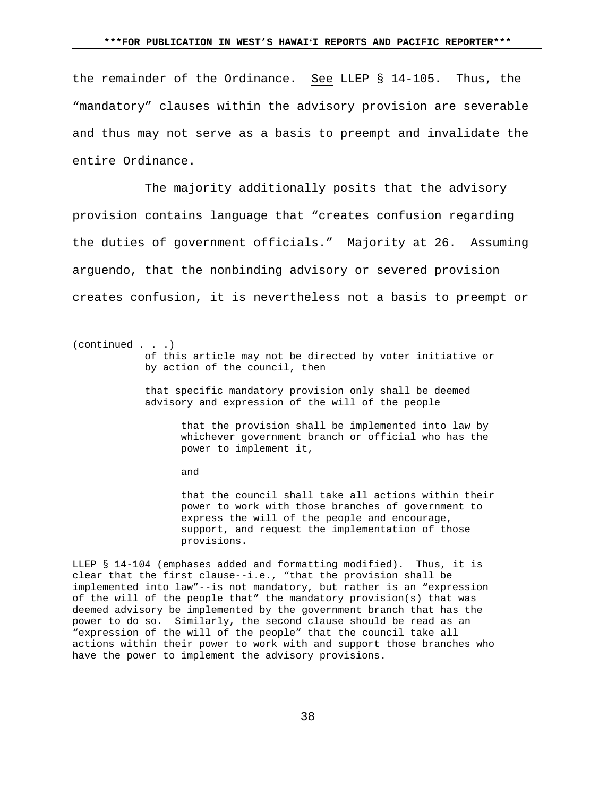the remainder of the Ordinance. See LLEP § 14-105. Thus, the "mandatory" clauses within the advisory provision are severable and thus may not serve as a basis to preempt and invalidate the entire Ordinance.

The majority additionally posits that the advisory provision contains language that "creates confusion regarding the duties of government officials." Majority at 26. Assuming arguendo, that the nonbinding advisory or severed provision creates confusion, it is nevertheless not a basis to preempt or

(continued . . .)

Ĩ.

of this article may not be directed by voter initiative or by action of the council, then

that specific mandatory provision only shall be deemed advisory and expression of the will of the people

> that the provision shall be implemented into law by whichever government branch or official who has the power to implement it,

and

that the council shall take all actions within their power to work with those branches of government to express the will of the people and encourage, support, and request the implementation of those provisions.

LLEP § 14-104 (emphases added and formatting modified). Thus, it is clear that the first clause--i.e., "that the provision shall be implemented into law"--is not mandatory, but rather is an "expression of the will of the people that" the mandatory provision(s) that was deemed advisory be implemented by the government branch that has the power to do so. Similarly, the second clause should be read as an "expression of the will of the people" that the council take all actions within their power to work with and support those branches who have the power to implement the advisory provisions.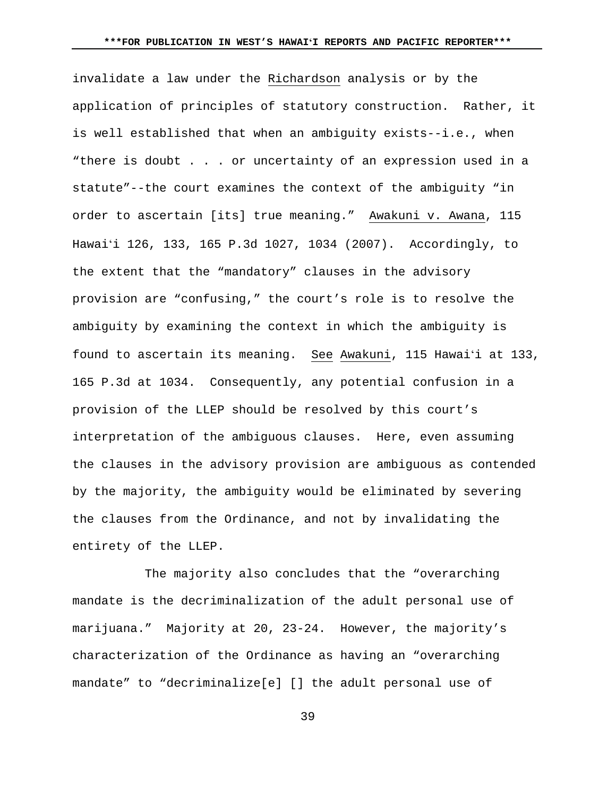invalidate a law under the Richardson analysis or by the application of principles of statutory construction. Rather, it is well established that when an ambiguity exists--i.e., when "there is doubt . . . or uncertainty of an expression used in a statute"--the court examines the context of the ambiguity "in order to ascertain [its] true meaning." Awakuni v. Awana, 115 Hawaiʻi 126, 133, 165 P.3d 1027, 1034 (2007). Accordingly, to the extent that the "mandatory" clauses in the advisory provision are "confusing," the court's role is to resolve the ambiguity by examining the context in which the ambiguity is found to ascertain its meaning. See Awakuni, 115 Hawaiʻi at 133, 165 P.3d at 1034. Consequently, any potential confusion in a provision of the LLEP should be resolved by this court's interpretation of the ambiguous clauses. Here, even assuming the clauses in the advisory provision are ambiguous as contended by the majority, the ambiguity would be eliminated by severing the clauses from the Ordinance, and not by invalidating the entirety of the LLEP.

The majority also concludes that the "overarching mandate is the decriminalization of the adult personal use of marijuana." Majority at 20, 23-24. However, the majority's characterization of the Ordinance as having an "overarching mandate" to "decriminalize[e] [] the adult personal use of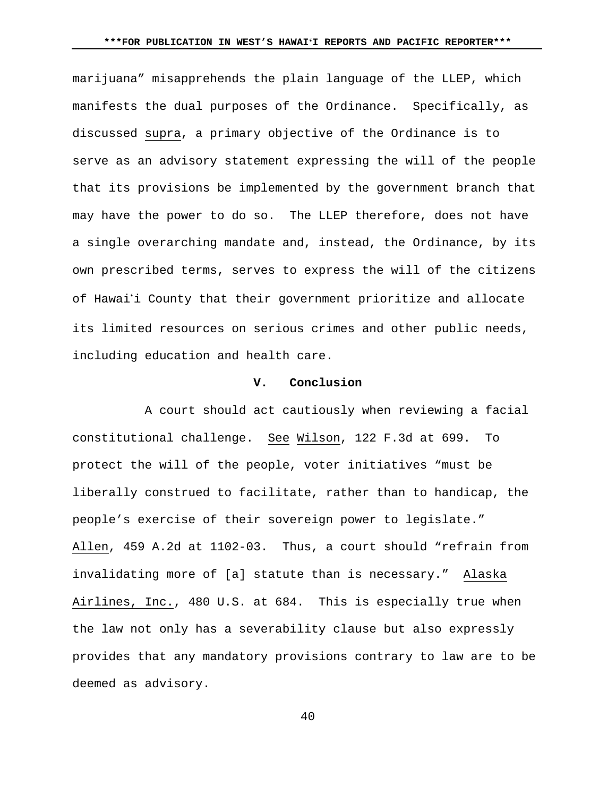marijuana" misapprehends the plain language of the LLEP, which manifests the dual purposes of the Ordinance. Specifically, as discussed supra, a primary objective of the Ordinance is to serve as an advisory statement expressing the will of the people that its provisions be implemented by the government branch that may have the power to do so. The LLEP therefore, does not have a single overarching mandate and, instead, the Ordinance, by its own prescribed terms, serves to express the will of the citizens of Hawai'i County that their government prioritize and allocate its limited resources on serious crimes and other public needs, including education and health care.

## **V. Conclusion**

A court should act cautiously when reviewing a facial constitutional challenge. See Wilson, 122 F.3d at 699. To protect the will of the people, voter initiatives "must be liberally construed to facilitate, rather than to handicap, the people's exercise of their sovereign power to legislate." Allen, 459 A.2d at 1102-03. Thus, a court should "refrain from invalidating more of [a] statute than is necessary." Alaska Airlines, Inc., 480 U.S. at 684. This is especially true when the law not only has a severability clause but also expressly provides that any mandatory provisions contrary to law are to be deemed as advisory.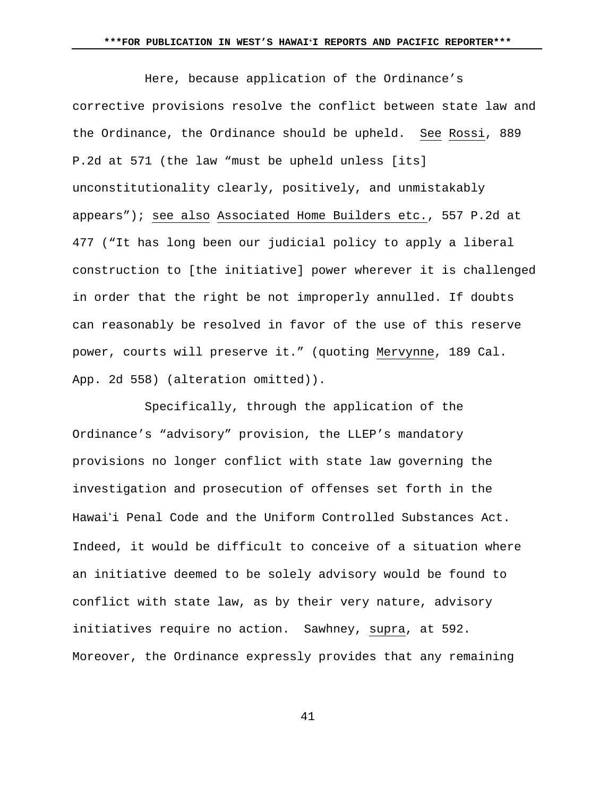Here, because application of the Ordinance's corrective provisions resolve the conflict between state law and the Ordinance, the Ordinance should be upheld. See Rossi, 889 P.2d at 571 (the law "must be upheld unless [its] unconstitutionality clearly, positively, and unmistakably appears"); see also Associated Home Builders etc., 557 P.2d at 477 ("It has long been our judicial policy to apply a liberal construction to [the initiative] power wherever it is challenged in order that the right be not improperly annulled. If doubts can reasonably be resolved in favor of the use of this reserve power, courts will preserve it." (quoting Mervynne, 189 Cal. App. 2d 558) (alteration omitted)).

Specifically, through the application of the Ordinance's "advisory" provision, the LLEP's mandatory provisions no longer conflict with state law governing the investigation and prosecution of offenses set forth in the Hawaii Penal Code and the Uniform Controlled Substances Act. Indeed, it would be difficult to conceive of a situation where an initiative deemed to be solely advisory would be found to conflict with state law, as by their very nature, advisory initiatives require no action. Sawhney, supra, at 592. Moreover, the Ordinance expressly provides that any remaining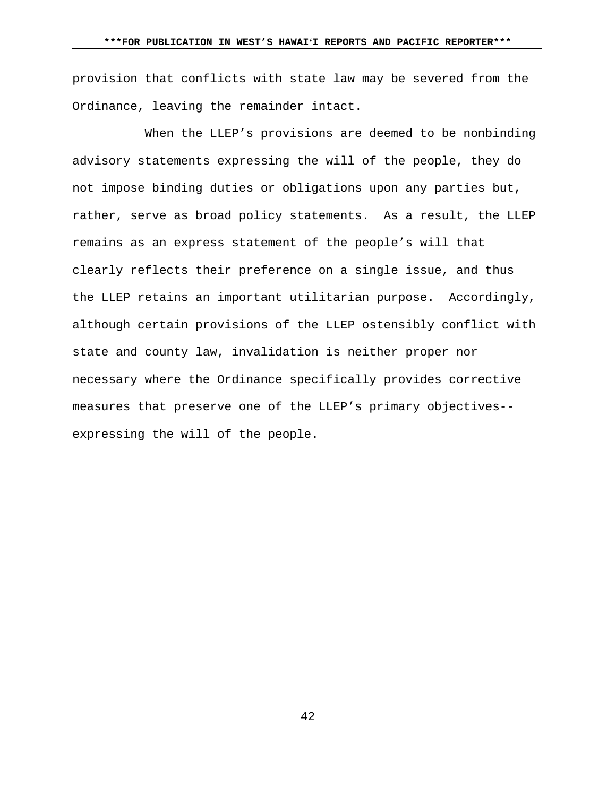provision that conflicts with state law may be severed from the Ordinance, leaving the remainder intact.

When the LLEP's provisions are deemed to be nonbinding advisory statements expressing the will of the people, they do not impose binding duties or obligations upon any parties but, rather, serve as broad policy statements. As a result, the LLEP remains as an express statement of the people's will that clearly reflects their preference on a single issue, and thus the LLEP retains an important utilitarian purpose. Accordingly, although certain provisions of the LLEP ostensibly conflict with state and county law, invalidation is neither proper nor necessary where the Ordinance specifically provides corrective measures that preserve one of the LLEP's primary objectives- expressing the will of the people.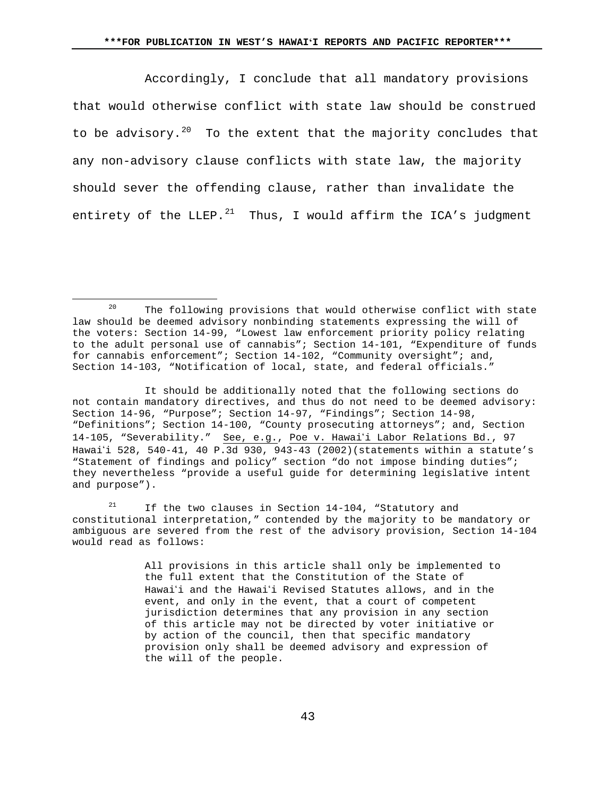Accordingly, I conclude that all mandatory provisions that would otherwise conflict with state law should be construed to be advisory.<sup>[20](#page-42-0)</sup> To the extent that the majority concludes that any non-advisory clause conflicts with state law, the majority should sever the offending clause, rather than invalidate the entirety of the LLEP. $^{21}$  $^{21}$  $^{21}$  Thus, I would affirm the ICA's judgment

 $\overline{a}$ 

<span id="page-42-1"></span><sup>21</sup> If the two clauses in Section 14-104, "Statutory and constitutional interpretation," contended by the majority to be mandatory or ambiguous are severed from the rest of the advisory provision, Section 14-104 would read as follows:

> All provisions in this article shall only be implemented to the full extent that the Constitution of the State of Hawai<sup>'</sup>i and the Hawai<sup>'</sup>i Revised Statutes allows, and in the event, and only in the event, that a court of competent jurisdiction determines that any provision in any section of this article may not be directed by voter initiative or by action of the council, then that specific mandatory provision only shall be deemed advisory and expression of the will of the people.

<span id="page-42-0"></span>The following provisions that would otherwise conflict with state law should be deemed advisory nonbinding statements expressing the will of the voters: Section 14-99, "Lowest law enforcement priority policy relating to the adult personal use of cannabis"; Section 14-101, "Expenditure of funds for cannabis enforcement"; Section 14-102, "Community oversight"; and, Section 14-103, "Notification of local, state, and federal officials."

It should be additionally noted that the following sections do not contain mandatory directives, and thus do not need to be deemed advisory: Section 14-96, "Purpose"; Section 14-97, "Findings"; Section 14-98, "Definitions"; Section 14-100, "County prosecuting attorneys"; and, Section 14-105, "Severability." See, e.g., Poe v. Hawaii Labor Relations Bd., 97 Hawaii 528, 540-41, 40 P.3d 930, 943-43 (2002)(statements within a statute's "Statement of findings and policy" section "do not impose binding duties"; they nevertheless "provide a useful guide for determining legislative intent and purpose").